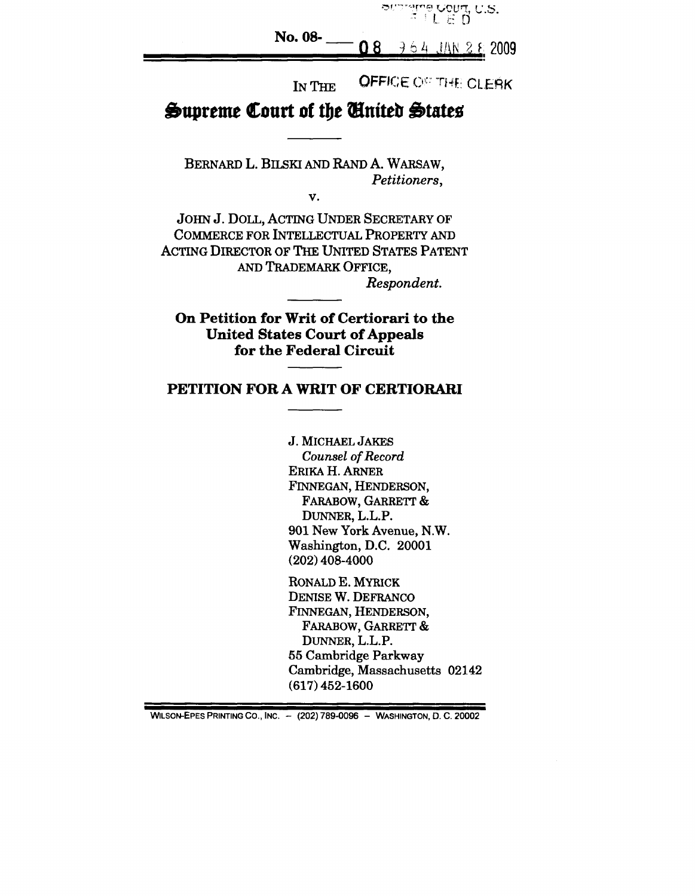भ″® ∪euπ, U.S.<br>ने ⊟L-⊞ D

**No. 08- 08 10 8 10 11 11 12 8 2009** 

IN THE OFFICE OF THE CLERK

# Supreme Court of the United States

BERNARD L. BILSKI AND RAND A. WARSAW, *Petitioners,*

*v.*

JOHN J. DOLL, ACTING UNDER SECRETARY OF COMMERCE FOR INTELLECTUAL PROPERTY AND ACTING DIRECTOR OF THE UNITED STATES PATENT AND TRADEMARK OFFICE, *Respondent.*

**On Petition for Writ of Certiorari to the United States Court of Appeals for the Federal Circuit**

## **PETITION FOR A WRIT OF CERTIORARI**

J.MICHAEL JAKES *Counsel of Record* ERIKA H. ARNER FINNEGAN, HENDERSON, FARABOW, GARRETT & DUNNER, L.L.P. 901 New York Avenue, N.W. Washington, D.C. 20001 (202) 408-4000

RONALD E. MYRICK DENISE W. DEFRANCO FINNEGAN, HENDERSON, FARABOW, GARRETT & DUNNER, L.L.P. 55 Cambridge Parkway Cambridge, Massachusetts 02142 (617) 452-1600

WILSON-EPES PRINTING CO., INC. - (202) 789-0096 - WASHINGTON, D. C. 20002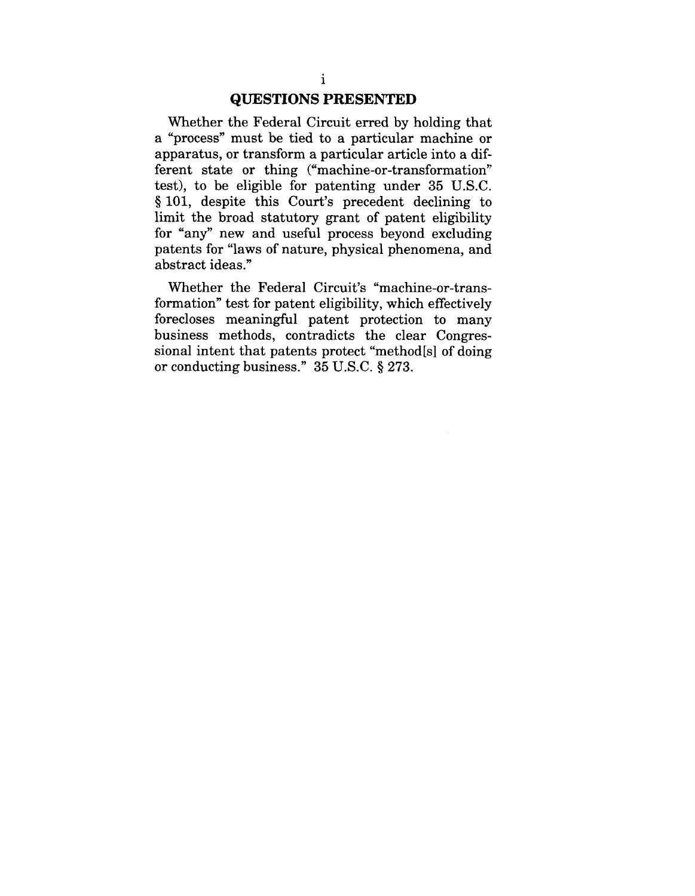### **QUESTIONS PRESENTED**

Whether the Federal Circuit erred by holding that a "process" must be tied to a particular machine or apparatus, or transform a particular article into a different state or thing ("machine-or-transformation" test), to be eligible for patenting under 35 U.S.C. § 101, despite this Court's precedent declining to limit the broad statutory grant of patent eligibility for "any" new and useful process beyond excluding patents for "laws of nature, physical phenomena, and abstract ideas."

Whether the Federal Circuit's "machine-or-transformation" test for patent eligibility, which effectively forecloses meaningful patent protection to many business methods, contradicts the clear Congressional intent that patents protect "method[s] of doing or conducting business." 35 U.S.C. § 273.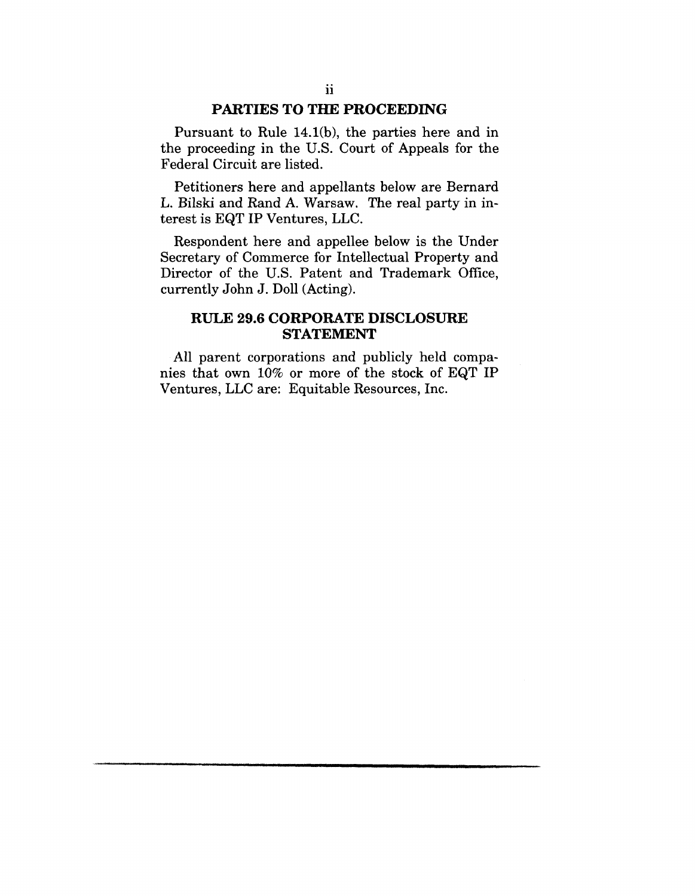#### **PARTIES TO THE PROCEEDING**

Pursuant to Rule 14.1(b), the parties here and in the proceeding in the U.S. Court of Appeals for the Federal Circuit are listed.

Petitioners here and appellants below are Bernard L. Bilski and Rand A. Warsaw. The real party in interest is EQT IP Ventures, LLC.

Respondent here and appellee below is the Under Secretary of Commerce for Intellectual Property and Director of the U.S. Patent and Trademark Office, currently John J. Doll (Acting).

## **RULE 29.6 CORPORATE DISCLOSURE STATEMENT**

All parent corporations and publicly held companies that own 10% or more of the stock of EQT IP Ventures, LLC are: Equitable Resources, Inc.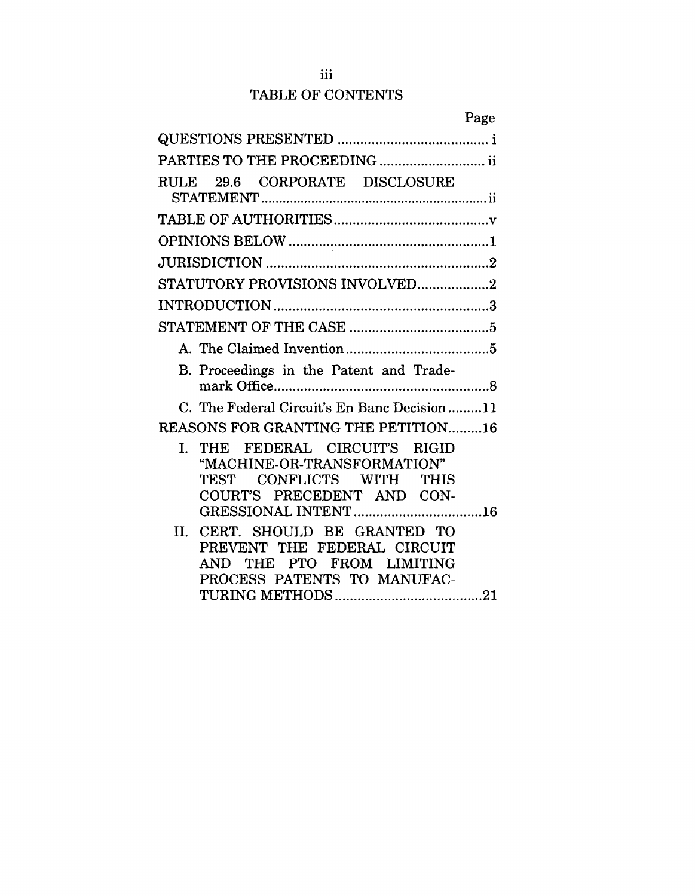## TABLE OF CONTENTS

|                                                                                                                                                                                                                                                                                              | Page |
|----------------------------------------------------------------------------------------------------------------------------------------------------------------------------------------------------------------------------------------------------------------------------------------------|------|
|                                                                                                                                                                                                                                                                                              |      |
| PARTIES TO THE PROCEEDING  ii                                                                                                                                                                                                                                                                |      |
| RULE 29.6 CORPORATE DISCLOSURE                                                                                                                                                                                                                                                               |      |
|                                                                                                                                                                                                                                                                                              |      |
|                                                                                                                                                                                                                                                                                              |      |
|                                                                                                                                                                                                                                                                                              |      |
| STATUTORY PROVISIONS INVOLVED2                                                                                                                                                                                                                                                               |      |
|                                                                                                                                                                                                                                                                                              |      |
|                                                                                                                                                                                                                                                                                              |      |
|                                                                                                                                                                                                                                                                                              |      |
|                                                                                                                                                                                                                                                                                              |      |
| B. Proceedings in the Patent and Trade-                                                                                                                                                                                                                                                      |      |
| C. The Federal Circuit's En Banc Decision11                                                                                                                                                                                                                                                  |      |
| REASONS FOR GRANTING THE PETITION16                                                                                                                                                                                                                                                          |      |
| THE FEDERAL CIRCUIT'S RIGID<br>L.<br>"MACHINE-OR-TRANSFORMATION"<br>CONFLICTS WITH THIS<br><b>TEST</b><br>COURT'S PRECEDENT AND CON-<br>CERT. SHOULD BE GRANTED TO<br>$\Pi$ .<br>THE FEDERAL CIRCUIT<br>PREVENT<br>FROM LIMITING<br><b>PTO</b><br>THE<br>AND.<br>PROCESS PATENTS TO MANUFAC- |      |
|                                                                                                                                                                                                                                                                                              |      |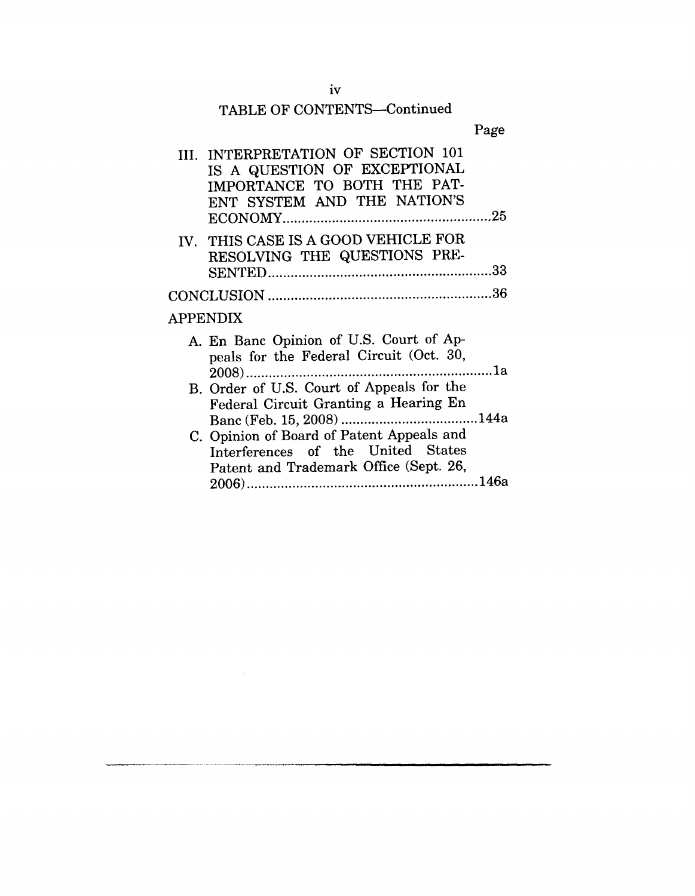# TABLE OF CONTENTS-Continued

| III. INTERPRETATION OF SECTION 101<br>IS A QUESTION OF EXCEPTIONAL<br>IMPORTANCE TO BOTH THE PAT-<br>ENT SYSTEM AND THE NATION'S |  |
|----------------------------------------------------------------------------------------------------------------------------------|--|
| IV. THIS CASE IS A GOOD VEHICLE FOR<br>RESOLVING THE QUESTIONS PRE-                                                              |  |
|                                                                                                                                  |  |
| <b>APPENDIX</b>                                                                                                                  |  |
| A. En Banc Opinion of U.S. Court of Ap-<br>peals for the Federal Circuit (Oct. 30,                                               |  |
| B. Order of U.S. Court of Appeals for the<br>Federal Circuit Granting a Hearing En                                               |  |
| C. Opinion of Board of Patent Appeals and<br>Interferences of the United States<br>Patent and Trademark Office (Sept. 26,        |  |
|                                                                                                                                  |  |
|                                                                                                                                  |  |

iv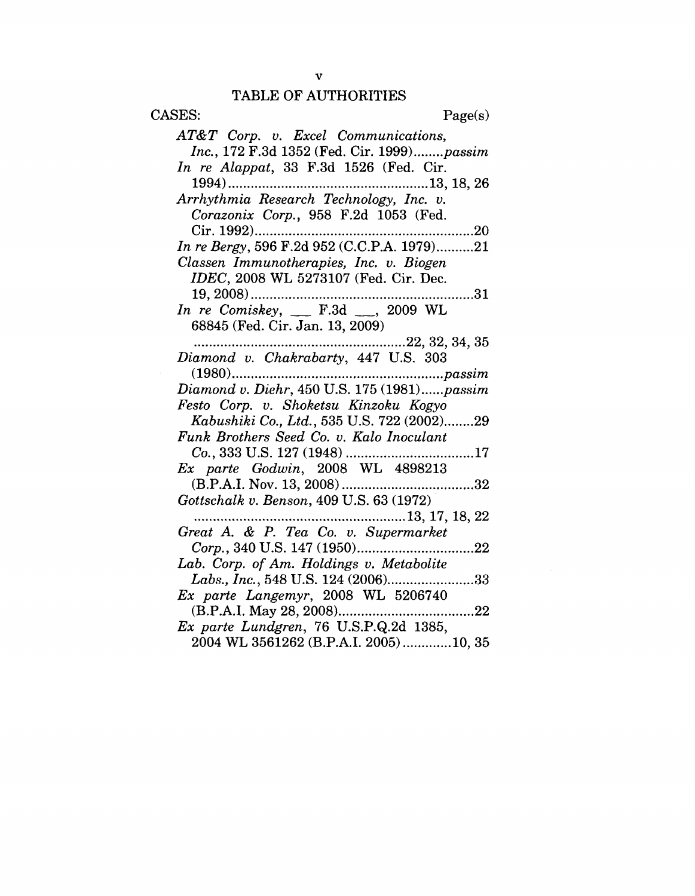| CASES:<br>Page(s)                                                                   |
|-------------------------------------------------------------------------------------|
| AT&T Corp. v. Excel Communications,                                                 |
| Inc., 172 F.3d 1352 (Fed. Cir. 1999)passim                                          |
| In re Alappat, 33 F.3d 1526 (Fed. Cir.                                              |
|                                                                                     |
| Arrhythmia Research Technology, Inc. v.                                             |
| Corazonix Corp., 958 F.2d 1053 (Fed.                                                |
| Cir. 1992)<br>20                                                                    |
| In re Bergy, 596 F.2d 952 (C.C.P.A. 1979)21                                         |
| Classen Immunotherapies, Inc. v. Biogen                                             |
| IDEC, 2008 WL 5273107 (Fed. Cir. Dec.                                               |
| 31                                                                                  |
| In re Comiskey, $\_\_$ F.3d $\_\_$ , 2009 WL                                        |
| 68845 (Fed. Cir. Jan. 13, 2009)                                                     |
| 22, 32, 34, 35                                                                      |
| Diamond v. Chakrabarty, 447 U.S. 303                                                |
| $(1980)$<br>passim                                                                  |
| Diamond v. Diehr, 450 U.S. 175 (1981)passim                                         |
| Festo Corp. v. Shoketsu Kinzoku Kogyo<br>Kabushiki Co., Ltd., 535 U.S. 722 (2002)29 |
| Funk Brothers Seed Co. v. Kalo Inoculant                                            |
|                                                                                     |
| Ex parte Godwin, 2008 WL 4898213                                                    |
|                                                                                     |
| Gottschalk v. Benson, 409 U.S. 63 (1972)                                            |
| 13, 17, 18, 22                                                                      |
| Great A. & P. Tea Co. v. Supermarket                                                |
| 22                                                                                  |
| Lab. Corp. of Am. Holdings v. Metabolite                                            |
| Labs., Inc., 548 U.S. 124 (2006)33                                                  |
| Ex parte Langemyr, 2008 WL 5206740                                                  |
|                                                                                     |
| Ex parte Lundgren, 76 U.S.P.Q.2d 1385,                                              |
| 2004 WL 3561262 (B.P.A.I. 2005)10, 35                                               |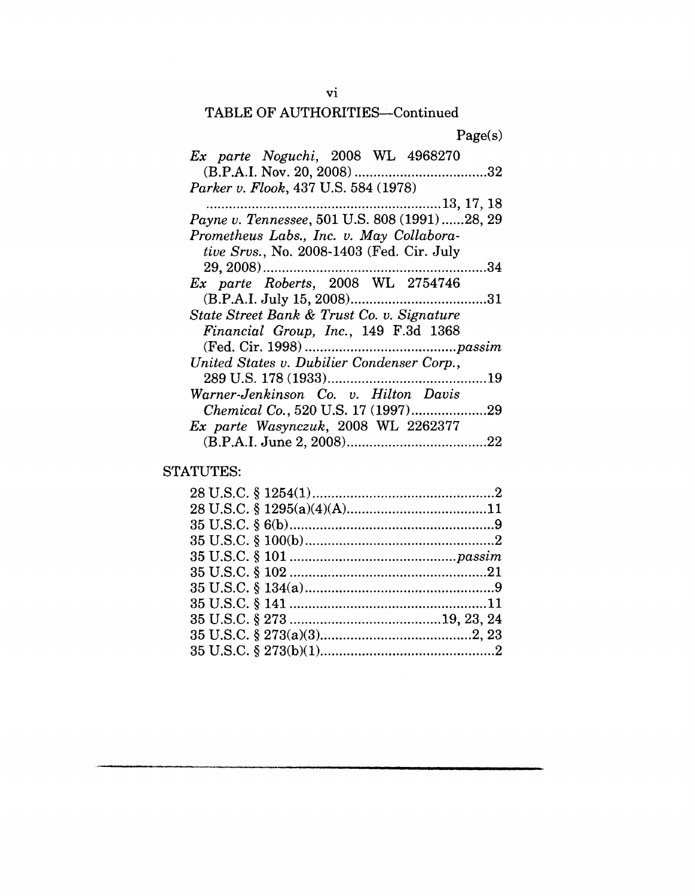## TABLE OF AUTHORITIES-Continued

| Page(s) |
|---------|
|---------|

| $Ex$ parte Noguchi, 2008 WL 4968270           |
|-----------------------------------------------|
|                                               |
| Parker v. Flook, 437 U.S. 584 (1978)          |
|                                               |
| Payne v. Tennessee, 501 U.S. 808 (1991)28, 29 |
| Prometheus Labs., Inc. v. May Collabora-      |
| tive Srvs., No. 2008-1403 (Fed. Cir. July     |
|                                               |
| $Ex$ parte Roberts, 2008 WL 2754746           |
|                                               |
| State Street Bank & Trust Co. v. Signature    |
| Financial Group, Inc., 149 F.3d 1368          |
|                                               |
| United States v. Dubilier Condenser Corp.,    |
|                                               |
| Warner-Jenkinson Co. v. Hilton Davis          |
| Chemical Co., 520 U.S. 17 (1997)29            |
| Ex parte Wasynczuk, 2008 WL 2262377           |
|                                               |

## STATUTES: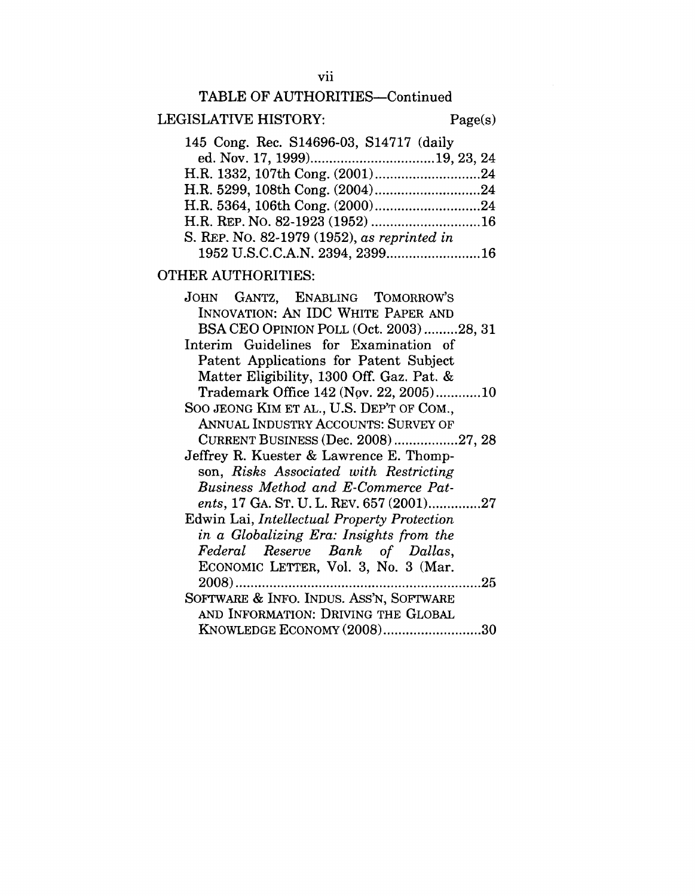TABLE OF AUTHORITIES-Continued LEGISLATIVE HISTORY: Page(s) 145 Cong. Rec. S14696-03, S14717 (daily ed. Nov. 17, 1999) .................................19, 23, 24 H.R. 1332, 107th Cong. (2001) ............................24 H.R. 5299, 108th Cong. (2004) ............................24 H.R. 5364, 106th Cong. (2000) ............................24 **H.R. REP.** NO. 82-1923 (1952) .............................16 S. REP. No. 82-1979 (1952), *as reprinted in* 1952 U.S.C.C.A.N. 2394, 2399 .........................16 OTHER AUTHORITIES: JOHN GANTZ, ENABLING TOMORROW'S INNOVATION: AN IDC WHITE PAPER AND BSA CEO OPINION POLL (Oct. 2003) .........28, 31 Interim Guidelines for Examination of Patent Applications for Patent Subject Matter Eligibility, 1300 Off. Gaz. Pat. & Trademark Office 142 (Nov. 22, 2005) ............10 SOO JEONG KIM ET AL., U.S. DEP'T OF COM., ANNUAL INDUSTRY ACCOUNTS: SURVEY OF CURRENT BUSINESS (Dec. 2008) .................27, 28 Jeffrey R. Kuester & Lawrence E. Thompson, *Risks Associated with Restricting Business Method and E-Commerce Patents,* 17 GA. ST. U. L. REV. 657 (2001) ..............27 Edwin Lai, *Intellectual Property Protection in a Globalizing Era: Insights from the Federal Reserve Bank of Dallas,* ECONOMIC LETTER, Vol. 3, No. 3 (Mar. 2008) .................................................................25 SOFTWARE & INFO. INDUS. ASS'N, SOFTWARE AND INFORMATION: DRIVING THE GLOBAL KNOWLEDGE ECONOMY (2008) ..........................30

vii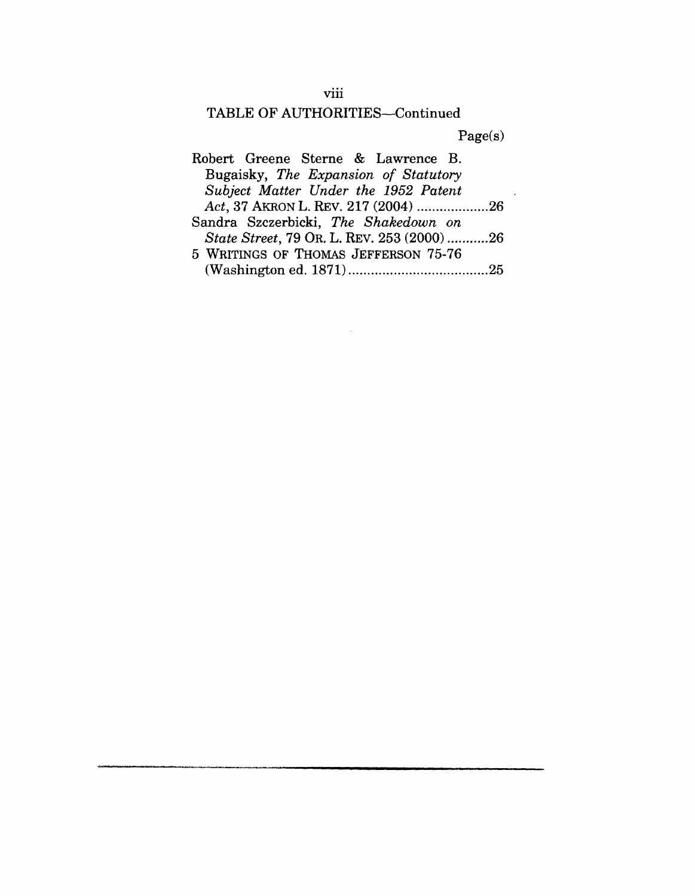## viii

## TABLE OF AUTHORITIES-Continued

Page(s)

 $\overline{\phantom{a}}$ 

| Robert Greene Sterne & Lawrence B.        |
|-------------------------------------------|
| Bugaisky, The Expansion of Statutory      |
| Subject Matter Under the 1952 Patent      |
| Act, 37 AKRON L. REV. 217 (2004) 26       |
| Sandra Szczerbicki, The Shakedown on      |
| State Street, 79 OR. L. REV. 253 (2000)26 |
| 5 WRITINGS OF THOMAS JEFFERSON 75-76      |
|                                           |

 $\sim 10$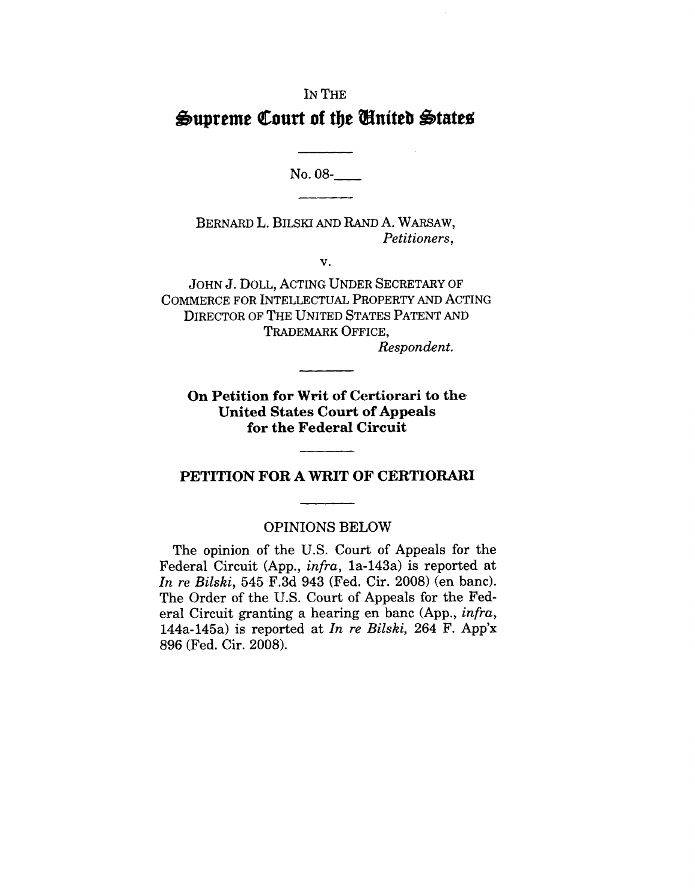# IN THE **Supreme Court of the Cinited States**

No. 08-

BERNARD L. BILSKI AND RAND A. WARSAW, *Petitioners,*

*V.*

JOHN J. DOLL, ACTING UNDER SECRETARY OF COMMERCE FOR INTELLECTUAL PROPERTY AND ACTING DIRECTOR OF THE UNITED STATES PATENT AND TRADEMARK OFFICE, *Respondent.*

**On Petition for Writ of Certiorari to the. United States Court of Appeals for the Federal Circuit**

## **PETITION FOR A WRIT OF CERTIORARI**

#### OPINIONS BELOW

The opinion of the U.S. Court of Appeals for the Federal Circuit (App., *infra,* 1a-143a) is reported at *In re Bilski,* 545 F.3d 943 (Fed. Cir. 2008) (en banc). The Order of the U.S. Court of Appeals for the Federal Circuit granting a hearing en banc (App., *infra,* 144a-145a) is reported at *In re Bilski,* 264 F. App'x 896 (Fed. Cir. 2008).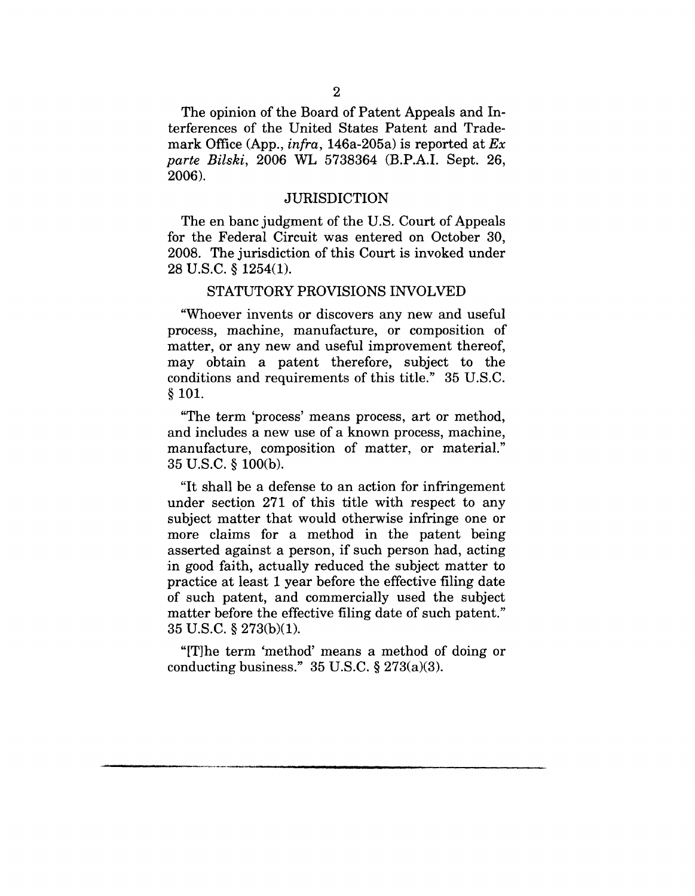The opinion of the Board of Patent Appeals and Interferences of the United States Patent and Trademark Office (App., *infra,* 146a-205a) is reported at *Ex parte Bilski,* 2006 WL 5738364 (B.P.A.I. Sept. 26, 2006).

#### JURISDICTION

The en banc judgment of the U.S. Court of Appeals for the Federal Circuit was entered on October 30, 2008. The jurisdiction of this Court is invoked under 28 U.S.C. § 1254(1).

#### STATUTORY PROVISIONS INVOLVED

"Whoever invents or discovers any new and useful process, machine, manufacture, or composition of matter, or any new and useful improvement thereof, may obtain a patent therefore, subject to the conditions and requirements of this title." 35 U.S.C. **§ 101.**

"The term 'process' means process, art or method, and includes a new use of a known process, machine, manufacture, composition of matter, or material." 35 U.S.C. § 100(b).

"It shall be a defense to an action for infringement under section 271 of this title with respect to any subject matter that would otherwise infringe one or more claims for a method in the patent being asserted against a person, if such person had, acting in good faith, actually reduced the subject matter to practice at least 1 year before the effective filing date of such patent, and commercially used the subject matter before the effective filing date of such patent." 35 U.S.C. § 273(b)(1).

"IT]he term 'method' means a method of doing or conducting business."  $35 \text{ U.S.C.} \$   $273(a)(3)$ .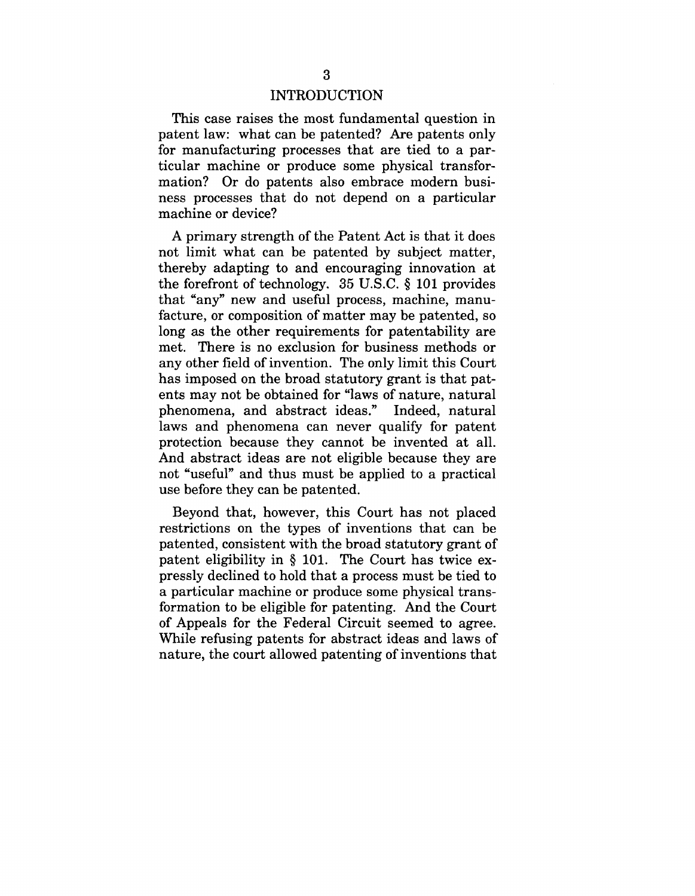### INTRODUCTION

This case raises the most fundamental question in patent law: what can be patented? Are patents only for manufacturing processes that are tied to a particular machine or produce some physical transformation? Or do patents also embrace modern business processes that do not depend on a particular machine or device?

A primary strength of the Patent Act is that it does not limit what can be patented by subject matter, thereby adapting to and encouraging innovation at the forefront of technology. 35 U.S.C. § 101 provides that "any" new and useful process, machine, manufacture, or composition of matter may be patented, so long as the other requirements for patentability are met. There is no exclusion for business methods or any other field of invention. The only limit this Court has imposed on the broad statutory grant is that patents may not be obtained for "laws of nature, natural phenomena, and abstract ideas." Indeed, natural laws and phenomena can never qualify for patent protection because they cannot be invented at all. And abstract ideas are not eligible because they are not "useful" and thus must be applied to a practical use before they can be patented.

Beyond that, however, this Court has not placed restrictions on the types of inventions that can be patented, consistent with the broad statutory grant of patent eligibility in § 101. The Court has twice expressly declined to hold that a process must be tied to a particular machine or produce some physical transformation to be eligible for patenting. And the Court of Appeals for the Federal Circuit seemed to agree. While refusing patents for abstract ideas and laws of nature, the court allowed patenting of inventions that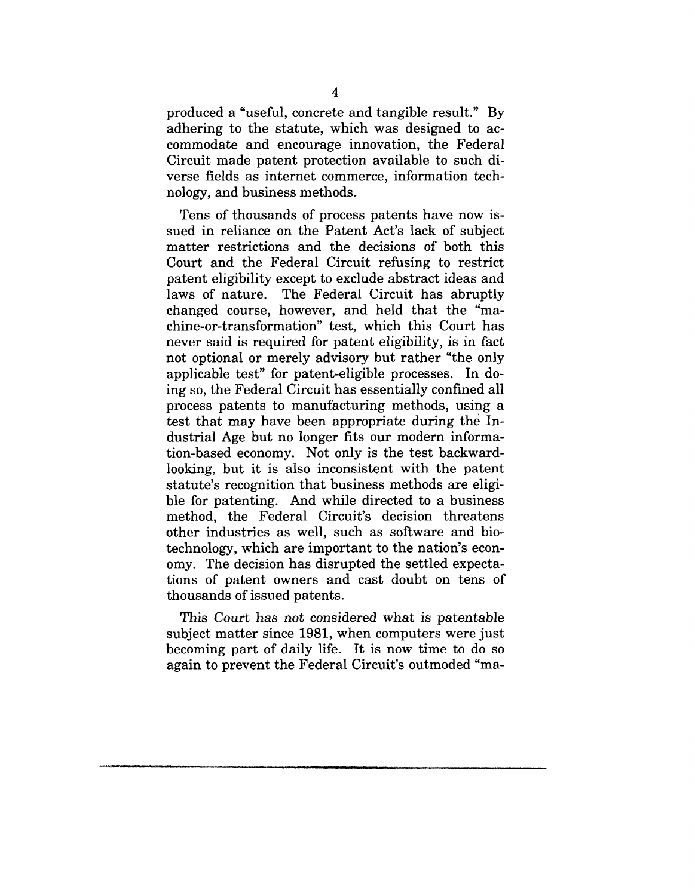produced a "useful, concrete and tangible result." By adhering to the statute, which was designed to accommodate and encourage innovation, the Federal Circuit made patent protection available to such diverse fields as internet commerce, information technology, and business methods.

Tens of thousands of process patents have now issued in reliance on the Patent Act's lack of subject matter restrictions and the decisions of both this Court and the Federal Circuit refusing to restrict patent eligibility except to exclude abstract ideas and laws of nature. The Federal Circuit has abruptly changed course, however, and held that the "machine-or-transformation" test, which this Court has never said is required for patent eligibility, is in fact not optional or merely advisory but rather "the only applicable test" for patent-eligible processes. In doing so, the Federal Circuit has essentially confined all process patents to manufacturing methods, using a test that may have been appropriate during the Industrial Age but no longer fits our modern information-based economy. Not only is the test backwardlooking, but it is also inconsistent with the patent statute's recognition that business methods are eligible for patenting. And while directed to a business method, the Federal Circuit's decision threatens other industries as well, such as software and biotechnology, which are important to the nation's economy. The decision has disrupted the settled expectations of patent owners and cast doubt on tens of thousands of issued patents.

This Court has not considered what is patentable subject matter since 1981, when computers were just becoming part of daily life. It is now time to do so again to prevent the Federal Circuit's outmoded "ma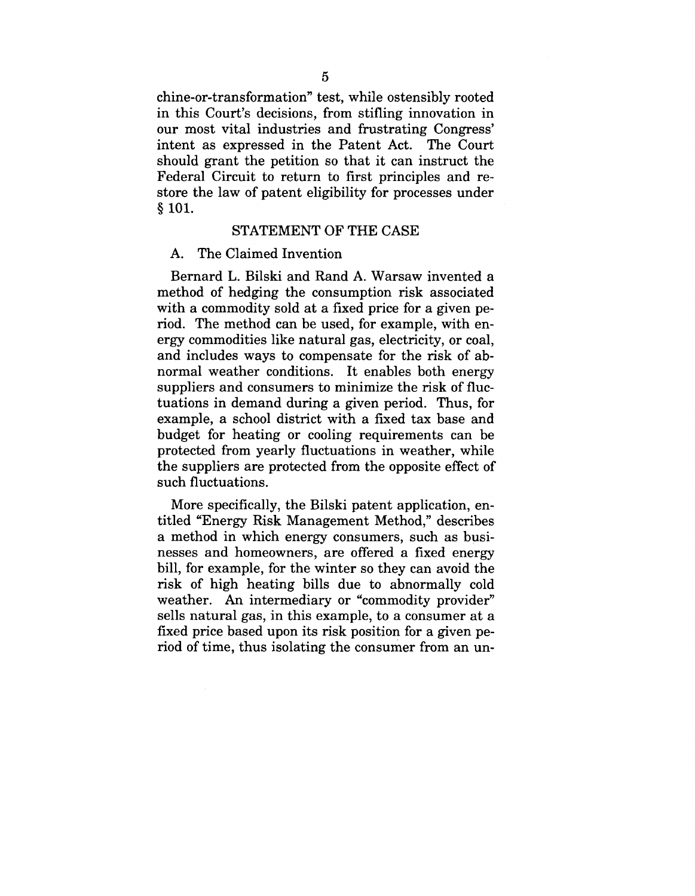chine-or-transformation" test, while ostensibly rooted in this Court's decisions, from stifling innovation in our most vital industries and frustrating Congress' intent as expressed in the Patent Act. The Court should grant the petition so that it can instruct the Federal Circuit to return to first principles and restore the law of patent eligibility for processes under **§ lOl.**

#### STATEMENT OF THE CASE

#### A. The Claimed Invention

Bernard L. Bilski and Rand A. Warsaw invented a method of hedging the consumption risk associated with a commodity sold at a fixed price for a given period. The method can be used, for example, with energy commodities like natural gas, electricity, or coal, and includes ways to compensate for the risk of abnormal weather conditions. It enables both energy suppliers and consumers to minimize the risk of fluctuations in demand during a given period. Thus, for example, a school district with a fixed tax base and budget for heating or cooling requirements can be protected from yearly fluctuations in weather, while the suppliers are protected from the opposite effect of such fluctuations.

More specifically, the Bilski patent application, entitled ~Energy Risk Management Method," describes a method in which energy consumers, such as businesses and homeowners, are offered a fixed energy bill, for example, for the winter so they can avoid the risk of high heating bills due to abnormally cold weather. An intermediary or "commodity provider" sells natural gas, in this example, to a consumer at a fixed price based upon its risk position for a given period of time, thus isolating the consumer from an un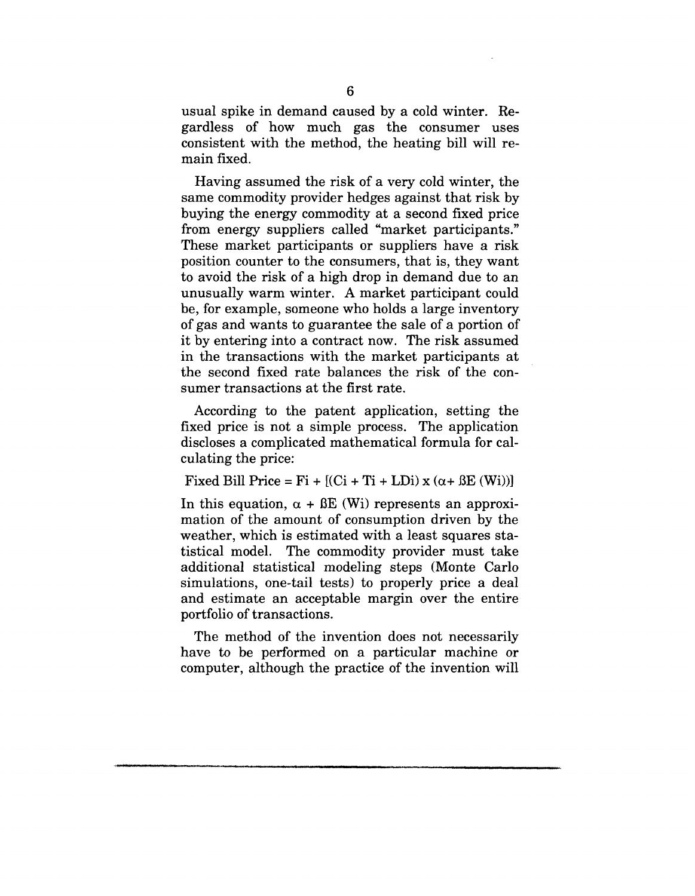usual spike in demand caused by a cold winter. Regardless of how much gas the consumer uses consistent with the method, the heating bill will remain fixed.

Having assumed the risk of a very cold winter, the same commodity provider hedges against that risk by buying the energy commodity at a second fixed price from energy suppliers called "market participants." These market participants or suppliers have a risk position counter to the consumers, that is, they want to avoid the risk of a high drop in demand due to an unusually warm winter. A market participant could be, for example, someone who holds a large inventory of gas and wants to guarantee the sale of a portion of it by entering into a contract now. The risk assumed in the transactions with the market participants at the second fixed rate balances the risk of the consumer transactions at the first rate.

According to the patent application, setting the fixed price is not a simple process. The application discloses a complicated mathematical formula for calculating the price:

#### Fixed Bill Price = Fi +  $[(Ci + Ti + LDi) x (a + BE (Wi))]$

In this equation,  $\alpha$  + BE (Wi) represents an approximation of the amount of consumption driven by the weather, which is estimated with a least squares statistical model. The commodity provider must take additional statistical modeling steps (Monte Carlo simulations, one-tail tests) to properly price a deal and estimate an acceptable margin over the entire portfolio of transactions.

The method of the invention does not necessarily have to be performed on a particular machine or computer, although the practice of the invention will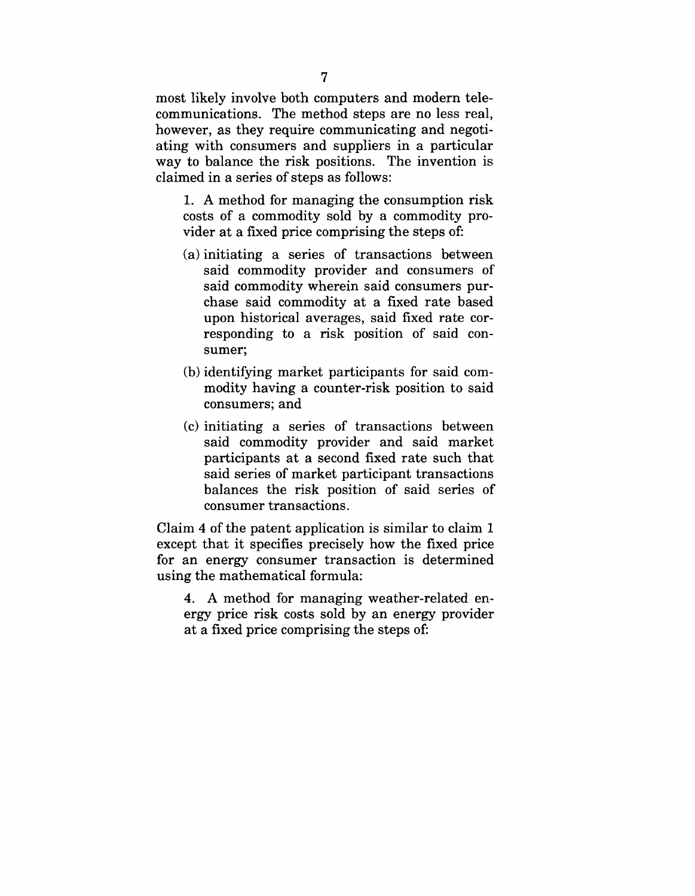most likely involve both computers and modern telecommunications. The method steps are no less real, however, as they require communicating and negotiating with consumers and suppliers in a particular way to balance the risk positions. The invention is claimed in a series of steps as follows:

1. A method for managing the consumption risk costs of a commodity sold by a commodity provider at a fixed price comprising the steps of:

- (a) initiating a series of transactions between said commodity provider and consumers of said commodity wherein said consumers purchase said commodity at a fixed rate based upon historical averages, said fixed rate corresponding to a risk position of said consumer;
- (b) identifying market participants for said commodity having a counter-risk position to said consumers; and
- (c) initiating a series of transactions between said commodity provider and said market participants at a second fixed rate such that said series of market participant transactions balances the risk position of said series of consumer transactions.

Claim 4 of the patent application is similar to claim 1 except that it specifies precisely how the fixed price for an energy consumer transaction is determined using the mathematical formula:

4. A method for managing weather-related energy price risk costs sold by an energy provider at a fixed price comprising the steps of: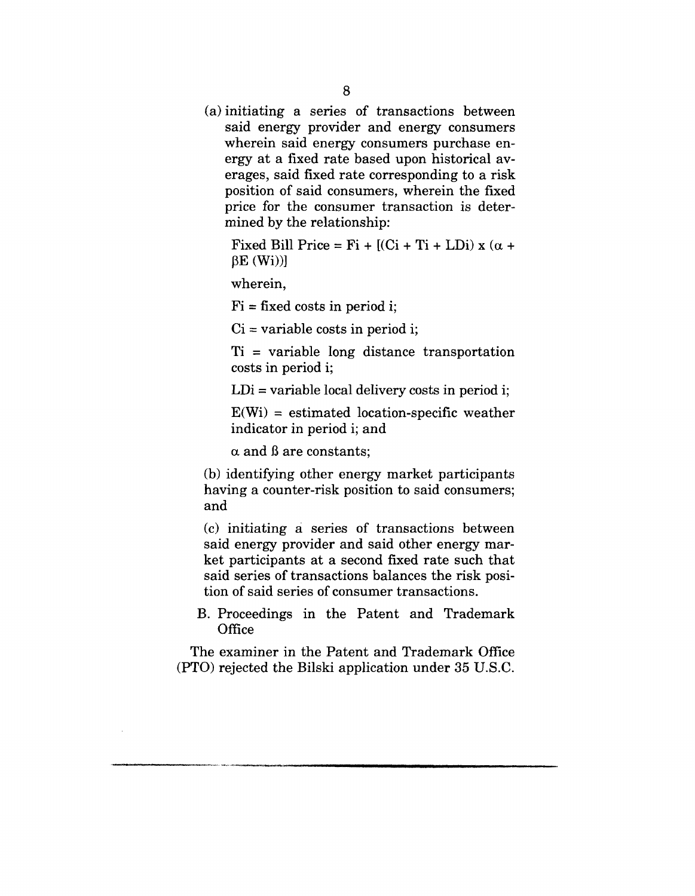(a) initiating a series of transactions between said energy provider and energy consumers wherein said energy consumers purchase energy at a fixed rate based upon historical averages, said fixed rate corresponding to a risk position of said consumers, wherein the fixed price for the consumer transaction is determined by the relationship:

Fixed Bill Price = Fi +  $[(Ci + Ti + LDi) x (\alpha +$  $\beta E$  (Wi))]

wherein,

 $Fi = fixed \, costs \, in \, period \, i;$ 

 $Ci = variable \, \, \text{costs} \, \, \text{in} \, \, \text{period} \, \, \text{is}$ 

Ti = variable long distance transportation costs in period i;

 $LDi = variable local delivery costs in period i;$ 

 $E(Wi)$  = estimated location-specific weather indicator in period i; and

 $\alpha$  and  $\beta$  are constants;

(b) identifying other energy market participants having a counter-risk position to said consumers; and

(c) initiating a series of transactions between said energy provider and said other energy market participants at a second fixed rate such that said series of transactions balances the risk position of said series of consumer transactions.

B. Proceedings in the Patent and Trademark **Office** 

The examiner in the Patent and Trademark Office (PTO) rejected the Bilski application under 35 U.S.C.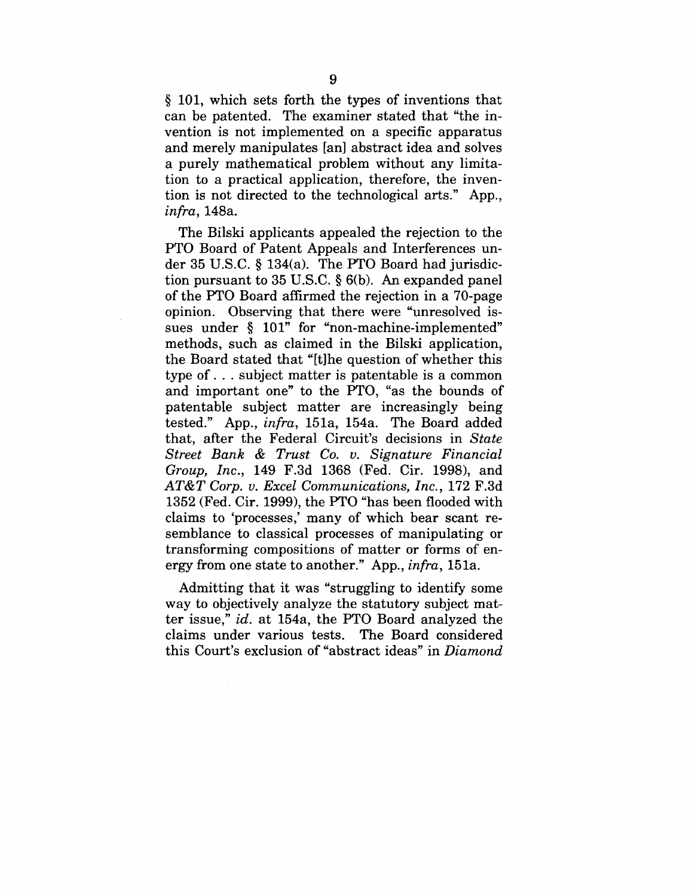§ 101, which sets forth the types of inventions that can be patented. The examiner stated that "the invention is not implemented on a specific apparatus and merely manipulates [an] abstract idea and solves a purely mathematical problem without any limitation to a practical application, therefore, the invention is not directed to the technological arts." App., *infra,* 148a.

The Bilski applicants appealed the rejection to the PTO Board of Patent Appeals and Interferences under 35 U.S.C. § 134(a). The PTO Board had jurisdiction pursuant to 35 U.S.C. § 6(b). An expanded panel of the PTO Board affirmed the rejection in a 70-page opinion. Observing that there were "unresolved issues under § 101" for "non-machine-implemented" methods, such as claimed in the Bilski application, the Board stated that "It]he question of whether this type of... subject matter is patentable is a common and important one" to the PTO, "as the bounds of patentable subject matter are increasingly being tested." App., *infra,* 151a, 154a. The Board added that, after the Federal Circuit's decisions in *State Street Bank & Trust Co. v. Signature Financial Group, Inc.,* 149 F.3d 1368 (Fed. Cir. 1998), and *AT&T Corp. v. Excel Communications, Inc.,* 172 F.3d 1352 (Fed. Cir. 1999), the PTO "has been flooded with claims to 'processes,' many of which bear scant resemblance to classical processes of manipulating or transforming compositions of matter or forms of energy from one state to another." App., *infra,* 151a.

Admitting that it was "struggling to identify some way to objectively analyze the statutory subject matter issue," *id.* at 154a, the PTO Board analyzed the claims under various tests. The Board considered this Court's exclusion of "abstract ideas" in *Diamond*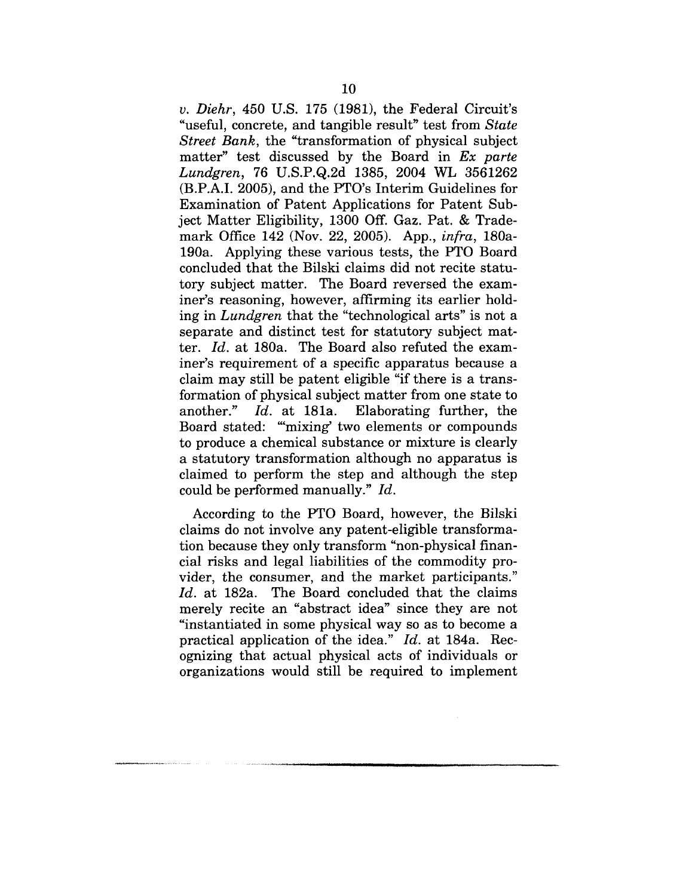*v. Diehr,* 450 U.S. 175 (1981), the Federal Circuit's "useful, concrete, and tangible result" test from *State Street Bank,* the "transformation of physical subject matter" test discussed by the Board in *Ex parte Lundgren,* 76 U.S.P.Q.2d 1385, 2004 WL 3561262 (B.P.A.I. 2005), and the PTO's Interim Guidelines for Examination of Patent Applications for Patent Subject Matter Eligibility, 1300 Off. Gaz. Pat. & Trademark Office 142 (Nov. 22, 2005). App., *infra,* 180a-190a. Applying these various tests, the PTO Board concluded that the Bilski claims did not recite statutory subject matter. The Board reversed the examiner's reasoning, however, affirming its earlier holding in *Lundgren* that the "technological arts" is not a separate and distinct test for statutory subject matter. *Id.* at 180a. The Board also refuted the examiner's requirement of a specific apparatus because a claim may still be patent eligible "if there is a transformation of physical subject matter from one state to<br>another."  $Id.$  at 181a. Elaborating further, the Elaborating further, the Board stated: "'mixing' two elements or compounds to produce a chemical substance or mixture is clearly a statutory transformation although no apparatus is claimed to perform the step and although the step could be performed manually." *Id.*

According to the PTO Board, however, the Bilski claims do not involve any patent-eligible transformation because they only transform "non-physical financial risks and legal liabilities of the commodity provider, the consumer, and the market participants." *Id.* at 182a. The Board concluded that the claims merely recite an "abstract idea" since they are not "instantiated in some physical way so as to become a practical application of the idea." *Id.* at 184a. Recognizing that actual physical acts of individuals or organizations would still be required to implement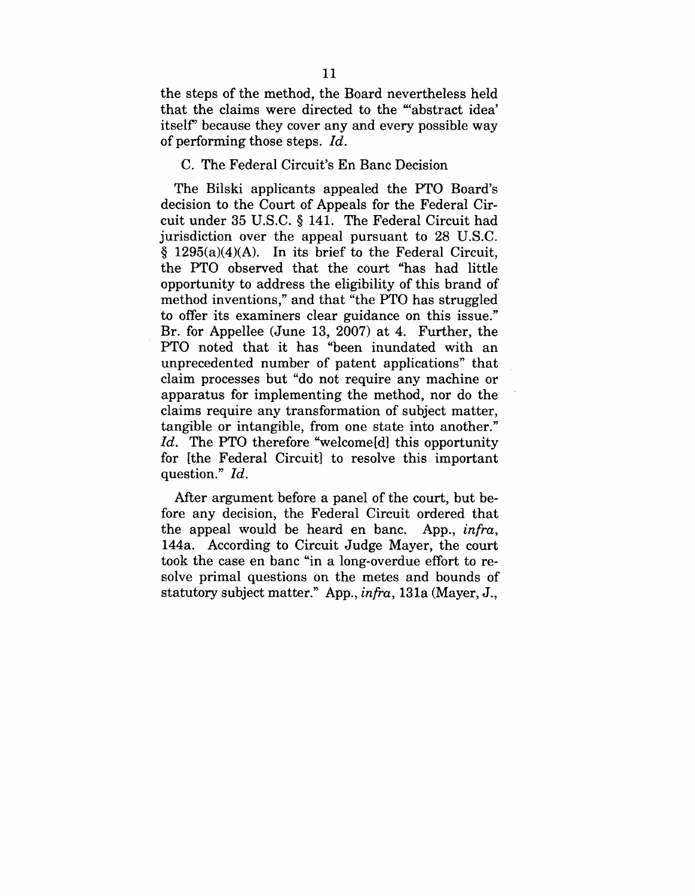the steps of the method, the Board nevertheless held that the claims were directed to the "'abstract idea' itself' because they cover any and every possible way of performing those steps. *Id.*

#### C. The Federal Circuit's En Banc Decision

The Bilski applicants appealed the PTO Board's decision to the Court of Appeals for the Federal Circuit under 35 U.S.C. § 141. The Federal Circuit had jurisdiction over the appeal pursuant to 28 U.S.C.  $§$  1295(a)(4)(A). In its brief to the Federal Circuit, the PTO observed that the court "has had little opportunity to address the eligibility of this brand of method inventions," and that "the PTO has struggled to offer its examiners clear guidance on this issue." Br. for Appellee (June 13, 2007) at 4. Further, the PTO noted that it has "been inundated with an unprecedented number of patent applications" that claim processes but "do not require any machine or apparatus for implementing the method, nor do the claims require any transformation of subject matter, tangible or intangible, from one state into another." *Id. The* PTO therefore "welcome[d] this opportunity for [the Federal Circuit] to resolve this important question." *Id.*

After argument before a panel of the court, but before any decision, the Federal Circuit ordered that the appeal would be heard en banc. App., *infra,* 144a. According to Circuit Judge Mayer, the court took the case en banc "in a long-overdue effort to resolve primal questions on the metes and bounds of statutory subject matter." App., *infra,* 131a (Mayer, J.,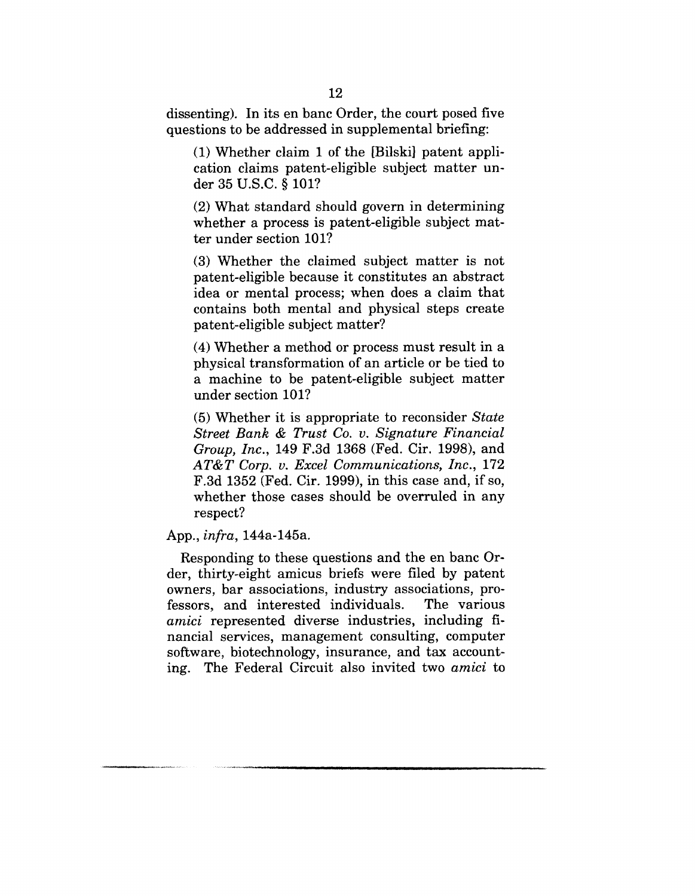dissenting). In its en banc Order, the court posed five questions to be addressed in supplemental briefing:

(1) Whether claim 1 of the [Bilski] patent application claims patent-eligible subject matter under 35 U.S.C. § 101?

(2) What standard should govern in determining whether a process is patent-eligible subject matter under section 101?

(3) Whether the claimed subject matter is not patent-eligible because it constitutes an abstract idea or mental process; when does a claim that contains both mental and physical steps create patent-eligible subject matter?

(4) Whether a method or process must result in a physical transformation of an article or be tied to a machine to be patent-eligible subject matter under section 101?

(5) Whether it is appropriate to reconsider *State Street Bank & Trust Co. v. Signature Financial Group, Inc.,* 149 F.3d 1368 (Fed. Cir. 1998), and *AT&T Corp. v. Excel Communications, Inc.,* 172 F.3d 1352 (Fed. Cir. 1999), in this case and, if so, whether those cases should be overruled in any respect?

## App., *infra,* 144a-145a.

Responding to these questions and the en banc Order, thirty-eight amicus briefs were filed by patent owners, bar associations, industry associations, professors, and interested individuals. The various *amici* represented diverse industries, including financial services, management consulting, computer software, biotechnology, insurance, and tax accounting. The Federal Circuit also invited two *amici* to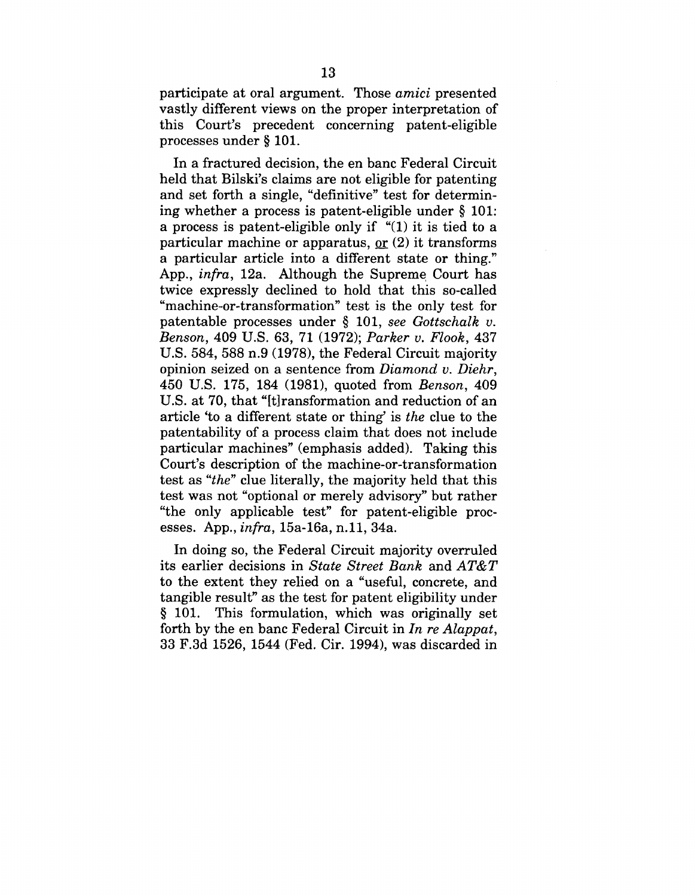participate at oral argument. Those *amici* presented vastly different views on the proper interpretation of this Court's precedent concerning patent-eligible processes under § 101.

In a fractured decision, the en banc Federal Circuit held that Bilski's claims are not eligible for patenting and set forth a single, "definitive" test for determining whether a process is patent-eligible under § 101: a process is patent-eligible only if "(1) it is tied to a particular machine or apparatus,  $or(2)$  it transforms a particular article into a different state or thing." App., *infra,* 12a. Although the Supreme Court has twice expressly declined to hold that this so-called "machine-or-transformation" test is the only test for patentable processes under § 101, *see Gottschalk v. Benson,* 409 U.S. 63, 71 (1972); *Parker v. Flook,* 437 U.S. 584, 588 n.9 (1978), the Federal Circuit majority opinion seized on a sentence from *Diamond v. Diehr,* 450 U.S. 175, 184 (1981), quoted from *Benson,* 409 U.S. at 70, that "[t]ransformation and reduction of an article 'to a different state or thing' is *the* clue to the patentability of a process claim that does not include particular machines" (emphasis added). Taking this Court's description of the machine-or-transformation test as *"the"* clue literally, the majority held that this test was not "optional or merely advisory" but rather "the only applicable test" for patent-eligible processes. App., *infra,* 15a-16a, n.ll, 34a.

In doing so, the Federal Circuit majority overruled its earlier decisions in *State Street Bank* and *AT&T* to the extent they relied on a "useful, concrete, and tangible result" as the test for patent eligibility under § 101. This formulation, which was originally set forth by the en banc Federal Circuit in *In re Alappat,* 33 F.3d 1526, 1544 (Fed. Cir. 1994), was discarded in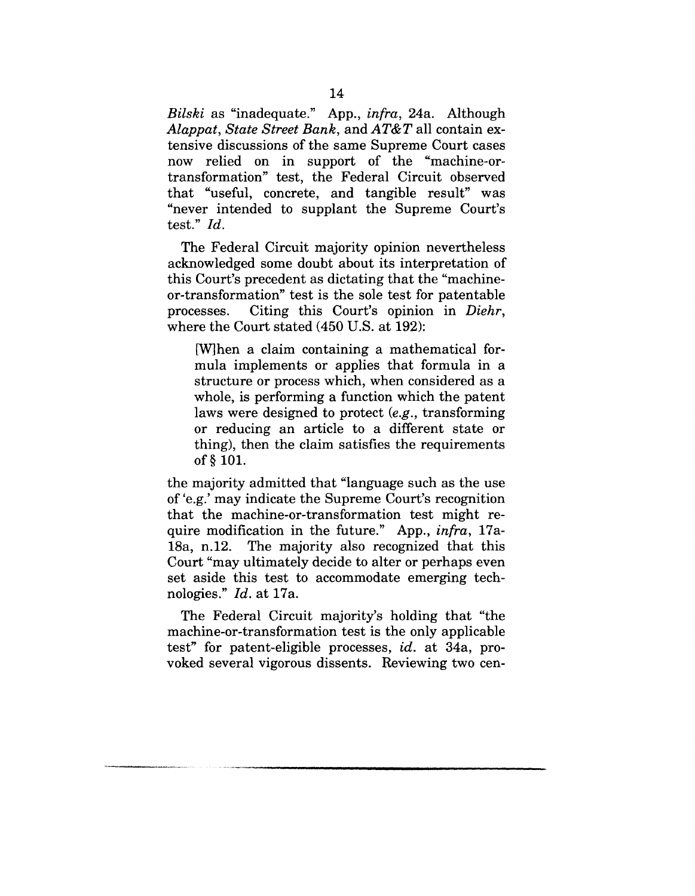*Bilski* as "inadequate." App., *infra,* 24a. Although *Alappat, State Street Bank,* and *AT& T* all contain extensive discussions of the same Supreme Court cases now relied on in support of the "machine-ortransformation" test, the Federal Circuit observed that "useful, concrete, and tangible result" was "never intended to supplant the Supreme Court's test." *Id.*

The Federal Circuit majority opinion nevertheless acknowledged some doubt about its interpretation of this Court's precedent as dictating that the "machineor-transformation" test is the sole test for patentable processes. Citing this Court's opinion in *Diehr,* where the Court stated (450 U.S. at 192):

[W]hen a claim containing a mathematical formula implements or applies that formula in a structure or process which, when considered as a whole, is performing a function which the patent laws were designed to protect *(e.g.,* transforming or reducing an article to a different state or thing), then the claim satisfies the requirements of § 101.

the majority admitted that "language such as the use of 'e.g.' may indicate the Supreme Court's recognition that the machine-or-transformation test might require modification in the future." App., *infra,* 17a-18a, n.12. The majority also recognized that this Court "may ultimately decide to alter or perhaps even set aside this test to accommodate emerging technologies." *Id.* at 17a.

The Federal Circuit majority's holding that "the machine-or-transformation test is the only applicable test" for patent-eligible processes, *id.* at 34a, provoked several vigorous dissents. Reviewing two cen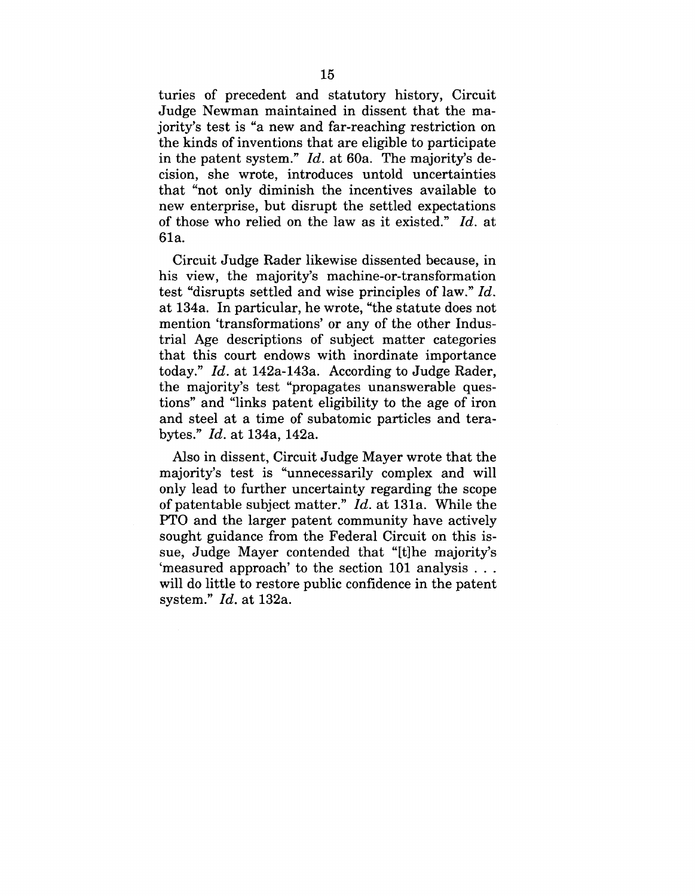turies of precedent and statutory history, Circuit Judge Newman maintained in dissent that the majority's test is "a new and far-reaching restriction on the kinds of inventions that are eligible to participate in the patent system." *Id.* at 60a. The majority's decision, she wrote, introduces untold uncertainties that "not only diminish the incentives available to new enterprise, but disrupt the settled expectations of those who relied on the law as it existed." *Id. at* 61a.

Circuit Judge Rader likewise dissented because, in his view, the majority's machine-or-transformation test "disrupts settled and wise principles of law." *Id.* at 134a. In particular, he wrote, "the statute does not mention 'transformations' or any of the other Industrial Age descriptions of subject matter categories that this court endows with inordinate importance today." *Id.* at 142a-143a. According to Judge Rader, the majority's test "propagates unanswerable questions" and "links patent eligibility to the age of iron and steel at a time of subatomic particles and terabytes." *Id.* at 134a, 142a.

Also in dissent, Circuit Judge Mayer wrote that the majority's test is "unnecessarily complex and will only lead to further uncertainty regarding the scope of patentable subject matter." *Id.* at 131a. While the PTO and the larger patent community have actively sought guidance from the Federal Circuit on this issue, Judge Mayer contended that "[t]he majority's 'measured approach' to the section 101 analysis . . . will do little to restore public confidence in the patent system." *Id.* at 132a.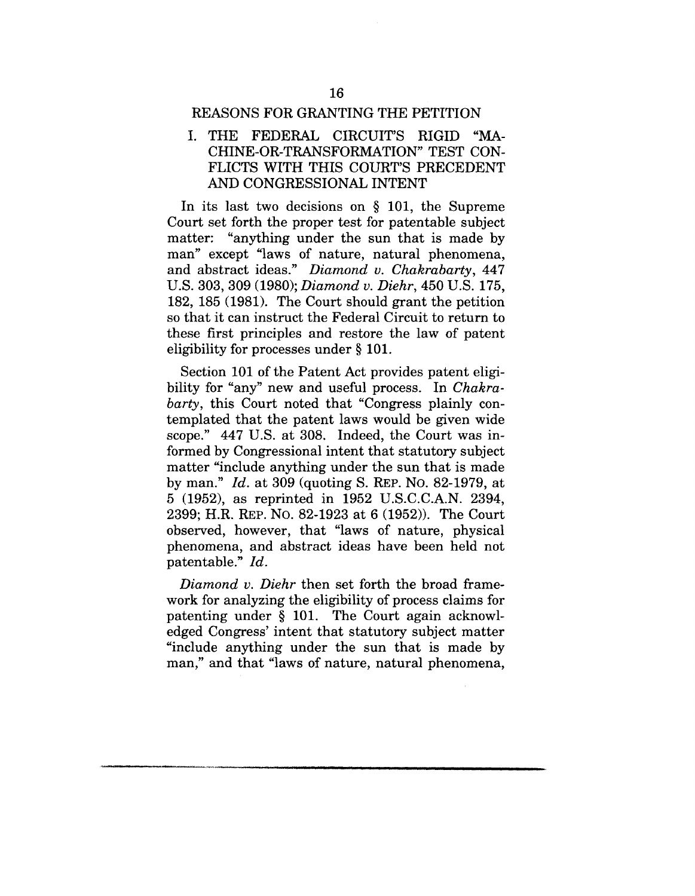#### REASONS FOR GRANTING THE PETITION

### I. THE FEDERAL CIRCUIT'S RIGID "MA-CHINE-OR-TRANSFORMATION" TEST CON-FLICTS WITH THIS COURT'S PRECEDENT AND CONGRESSIONAL INTENT

In its last two decisions on § 101, the Supreme Court set forth the proper test for patentable subject matter: "anything under the sun that is made by man" except "laws of nature, natural phenomena, and abstract ideas." *Diamond v. Chakrabarty,* <sup>447</sup> U.S. 303, 309 (1980); *Diamond v. Diehr,* 450 U.S. 175, 182, 185 (1981). The Court should grant the petition so that it can instruct the Federal Circuit to return to these first principles and restore the law of patent eligibility for processes under § 101.

Section 101 of the Patent Act provides patent eligibility for "any" new and useful process. In *Chakrabarty,* this Court noted that "Congress plainly contemplated that the patent laws would be given wide scope." 447 U.S. at 308. Indeed, the Court was informed by Congressional intent that statutory subject matter "include anything under the sun that is made by man." *Id.* at 309 (quoting S. REP. No. 82-1979, at 5 (1952), as reprinted in 1952 U.S.C.C.A.N. 2394, 2399; H.R. REP. NO. 82-1923 at 6 (1952)). The Court observed, however, that "laws of nature, physical phenomena, and abstract ideas have been held not patentable." *Id.*

*Diamond v. Diehr* then set forth the broad framework for analyzing the eligibility of process claims for patenting under § 101. The Court again acknowledged Congress' intent that statutory subject matter "include anything under the sun that is made by man," and that "laws of nature, natural phenomena,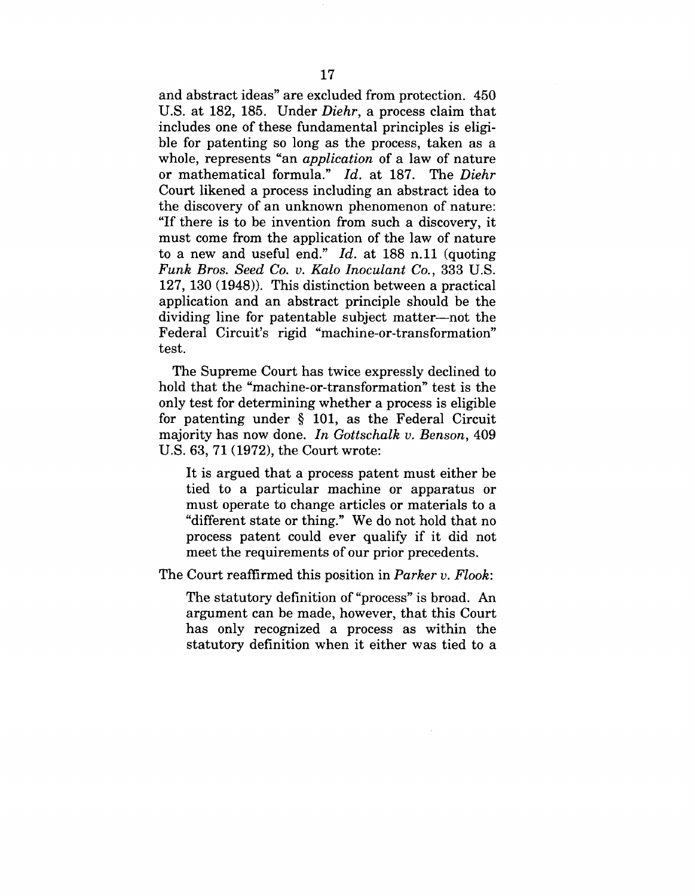and abstract ideas" are excluded from protection. 450 U.S. at 182, 185. Under *Diehr,* a process claim that includes one of these fundamental principles is eligible for patenting so long as the process, taken as a whole, represents "an *application* of a law of nature or mathematical formula." *Id.* at 187. *The Diehr* Court likened a process including an abstract idea to the discovery of an unknown phenomenon of nature: "If there is to be invention from such a discovery, it must come from the application of the law of nature to a new and useful end." *Id.* at 188 n.ll (quoting *Funk Bros. Seed Co. v. Kalo Inoculant Co.,* 333 U.S. 127, 130 (1948)). This distinction between a practical application and an abstract principle should be the dividing line for patentable subject matter--not the Federal Circuit's rigid "machine-or-transformation" test.

The Supreme Court has twice expressly declined to hold that the "machine-or-transformation" test is the only test for determining whether a process is eligible for patenting under § 101, as the Federal Circuit majority has now done. *In Gottschalk v. Benson,* 409 U.S. 63, 71 (1972), the Court wrote:

It is argued that a process patent must either be tied to a particular machine or apparatus or must operate to change articles or materials to a "different state or thing." We do not hold that no process patent could ever qualify if it did not meet the requirements of our prior precedents.

The Court reaffirmed this position in *Parker v. Flook:*

The statutory definition of "process" is broad. An argument can be made, however, that this Court has only recognized a process as within the statutory definition when it either was tied to a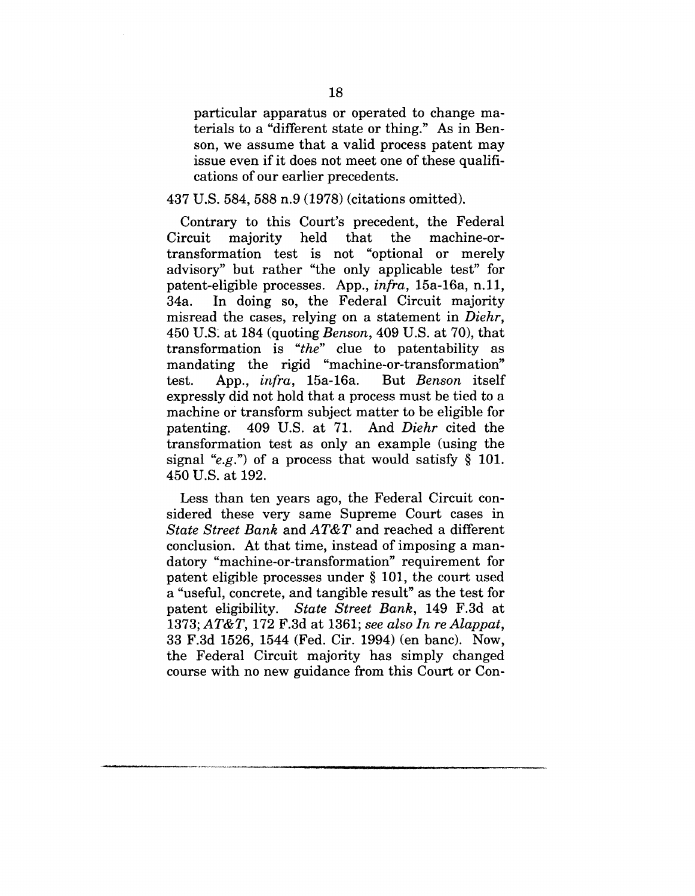particular apparatus or operated to change materials to a "different state or thing." As in Benson, we assume that a valid process patent may issue even if it does not meet one of these qualifications of our earlier precedents.

#### 437 U.S. 584, 588 n.9 (1978) (citations omitted).

Contrary to this Court's precedent, the Federal Circuit majority held that the machine-ortransformation test is not "optional or merely advisory" but rather "the only applicable test" for patent-eligible processes. App., *infra,* 15a-16a, n.ll, 34a. In doing so, the Federal Circuit majority misread the cases, relying on a statement in *Diehr,* 450 U.S: at 184 (quoting *Benson,* 409 U.S. at 70), that transformation is *"the"* clue to patentability as mandating the rigid "machine-or-transformation" test. App., *infra,* 15a-16a. But *Benson* itself expressly did not hold that a process must be tied to a machine or transform subject matter to be eligible for patenting. 409 U.S. at 71. And *Diehr* cited the transformation test as only an example (using the signal "e.g.") of a process that would satisfy  $\S$  101. 450 U.S. at 192.

Less than ten years ago, the Federal Circuit considered these very same Supreme Court cases in *State Street Bank* and *AT&T* and reached a different conclusion. At that time, instead of imposing a mandatory "machine-or-transformation" requirement for patent eligible processes under § 101, the court used a "useful, concrete, and tangible result" as the test for patent eligibility. *State Street Bank,* 149 F.3d at 1373; *AT&T,* 172 F.3d at 1361; *see also In re Alappat,* 33 F.3d 1526, 1544 (Fed. Cir. 1994) (en banc). Now, the Federal Circuit majority has simply changed course with no new guidance from this Court or Con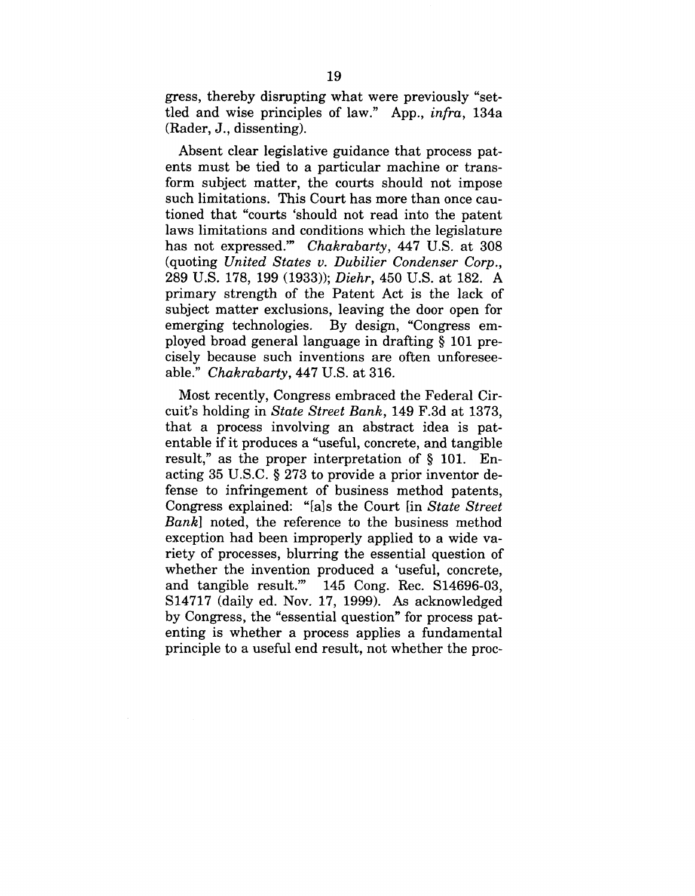gress, thereby disrupting what were previously "settled and wise principles of law." App., *infra,* 134a (Rader, J., dissenting).

Absent clear legislative guidance that process patents must be tied to a particular machine or transform subject matter, the courts should not impose such limitations. This Court has more than once cautioned that "courts 'should not read into the patent laws limitations and conditions which the legislature has not expressed.'" *Chakrabarty,* 447 U.S. at 308 (quoting *United States v. Dubilier Condenser Corp.,* 289 U.S. 178, 199 (1933)); *Diehr,* 450 U.S. at 182. A primary strength of the Patent Act is the lack of subject matter exclusions, leaving the door open for emerging technologies. By design, "Congress employed broad general language in drafting § 101 precisely because such inventions are often unforeseeable." *Chakrabarty,* 447 U.S. at 316.

Most recently, Congress embraced the Federal Circuit's holding in *State Street Bank,* 149 F.3d at 1373, that a process involving an abstract idea is patentable if it produces a "useful, concrete, and tangible result," as the proper interpretation of § 101. Enacting 35 U.S.C. § 273 to provide a prior inventor defense to infringement of business method patents, Congress explained: "[a]s the Court [in *State Street Bank]* noted, the reference to the business method exception had been improperly applied to a wide variety of processes, blurring the essential question of whether the invention produced a 'useful, concrete, and tangible result." 145 Cong. Rec. S14696-03, 145 Cong. Rec. S14696-03, \$14717 (daily ed. Nov. 17, 1999). As acknowledged by Congress, the "essential question" for process patenting is whether a process applies a fundamental principle to a useful end result, not whether the proc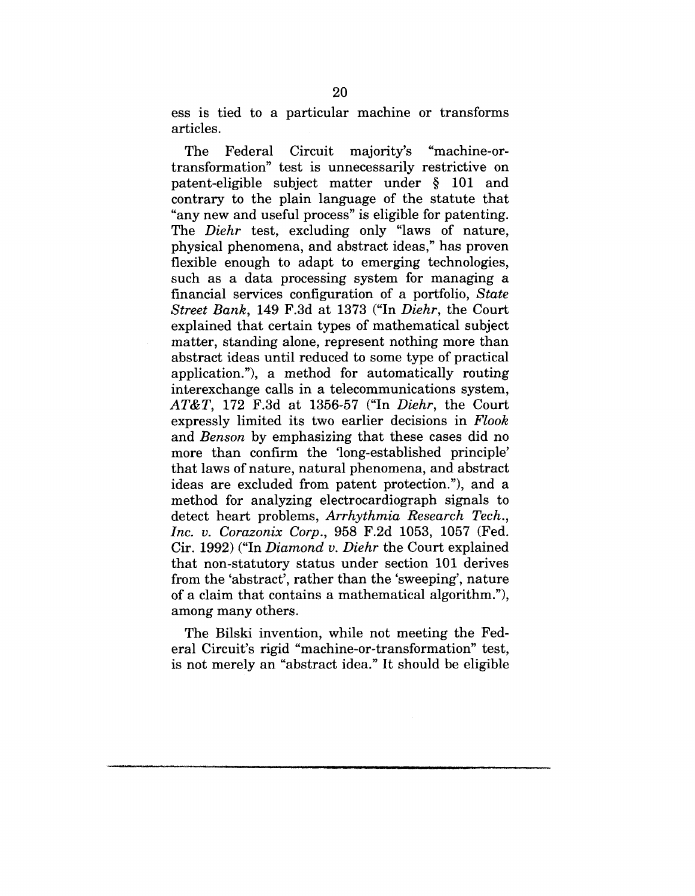ess is tied to a particular machine or transforms articles.

The Federal Circuit majority's "machine-ortransformation" test is unnecessarily restrictive on patent-eligible subject matter under § 101 and contrary to the plain language of the statute that "any new and useful process" is eligible for patenting. The *Diehr* test, excluding only "laws of nature, physical phenomena, and abstract ideas," has proven flexible enough to adapt to emerging technologies, such as a data processing system for managing a financial services configuration of a portfolio, *State Street Bank,* 149 F.3d at 1373 ("In *Diehr,* the Court explained that certain types of mathematical subject matter, standing alone, represent nothing more than abstract ideas until reduced to some type of practical application."), a method for automatically routing interexchange calls in a telecommunications system, *AT&T,* 172 F.3d at 1356-57 ("In *Diehr,* the Court expressly limited its two earlier decisions in *Flook* and *Benson* by emphasizing that these cases did no more than confirm the 'long-established principle' that laws of nature, natural phenomena, and abstract ideas are excluded from patent protection."), and a method for analyzing electrocardiograph signals to detect heart problems, *Arrhythmia Research Tech., Inc. v. Corazonix Corp.,* 958 F.2d 1053, 1057 (Fed. Cir. 1992) ("In *Diamond v. Diehr* the Court explained that non-statutory status under section 101 derives from the 'abstract', rather than the 'sweeping', nature of a claim that contains a mathematical algorithm."), among many others.

The Bilski invention, while not meeting the Federal Circuit's rigid "machine-or-transformation" test, is not merely an "abstract idea." It should be eligible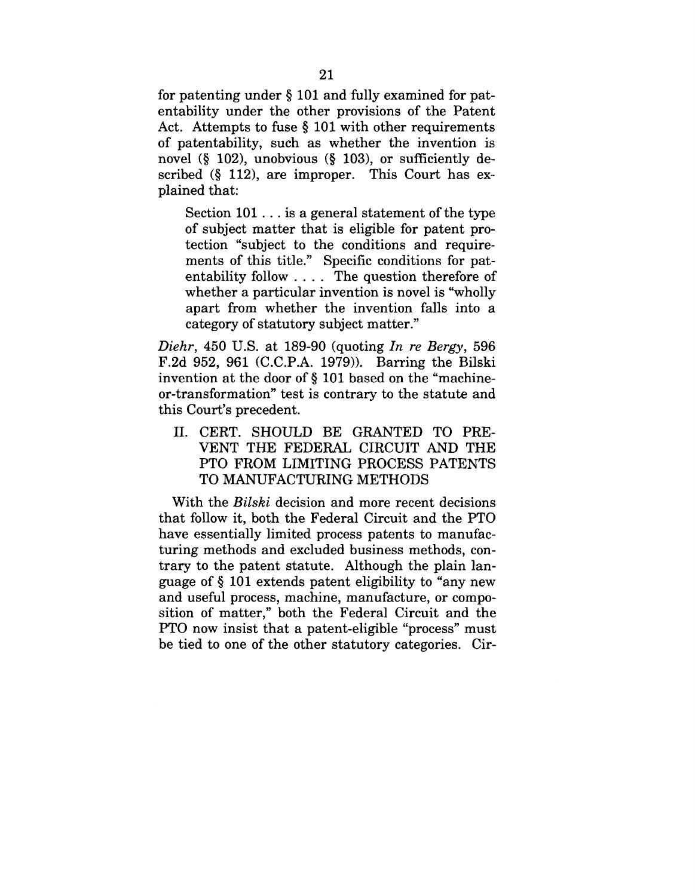for patenting under § 101 and fully examined for patentability under the other provisions of the Patent Act. Attempts to fuse § 101 with other requirements of patentability, such as whether the invention is novel (§ 102), unobvious (§ 103), or sufficiently described  $(\S 112)$ , are improper. This Court has explained that:

Section 101... is a general statement of the type of subject matter that is eligible for patent protection "subject to the conditions and requirements of this title." Specific conditions for patentability follow .... The question therefore of whether a particular invention is novel is "wholly apart from whether the invention falls into a category of statutory subject matter."

*Diehr,* 450 U.S. at 189-90 (quoting *In re Bergy,* 596 F.2d 952, 961 (C.C.P.A. 1979)). Barring the Bilski invention at the door of § 101 based on the "machineor-transformation" test is contrary to the statute and this Court's precedent.

II. CERT. SHOULD BE GRANTED TO PRE-VENT THE FEDERAL CIRCUIT AND THE PTO FROM LIMITING PROCESS PATENTS TO MANUFACTURING METHODS

With the *Bilski* decision and more recent decisions that follow it, both the Federal Circuit and the PTO have essentially limited process patents to manufacturing methods and excluded business methods, contrary to the patent statute. Although the plain language of § 101 extends patent eligibility to "any new and useful process, machine, manufacture, or composition of matter," both the Federal Circuit and the PTO now insist that a patent-eligible "process" must be tied to one of the other statutory categories. Cir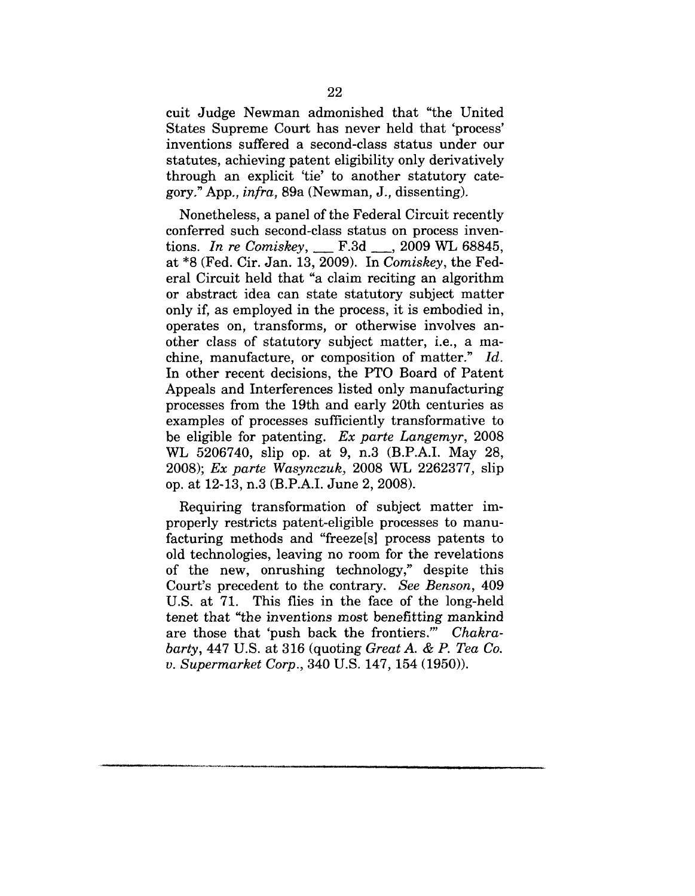cuit Judge Newman admonished that "the United States Supreme Court has never held that 'process' inventions suffered a second-class status under our statutes, achieving patent eligibility only derivatively through an explicit 'tie' to another statutory category." App., *infra,* 89a (Newman, J., dissenting).

Nonetheless, a panel of the Federal Circuit recently conferred such second-class status on process inventions. *In re Comiskey, ~* F.3d \_\_., 2009 WL 68845, at \*8 (Fed. Cir. Jan. 13, 2009). In *Comiskey,* the Federal Circuit held that "a claim reciting an algorithm or abstract idea can state statutory subject matter only if, as employed in the process, it is embodied in, operates on, transforms, or otherwise involves another class of statutory subject matter, i.e., a machine, manufacture, or composition of matter." *Id.* In other recent decisions, the PTO Board of Patent Appeals and Interferences listed only manufacturing processes from the 19th and early 20th centuries as examples of processes sufficiently transformative to be eligible for patenting. *Ex parte Langemyr,* <sup>2008</sup> WL 5206740, slip op. at 9, n.3 (B.P.A.I. May 28, 2008); *Ex parte Wasynczuk,* 2008 WL 2262377, slip op. at 12-13, n.3 (B.P.A.I. June 2, 2008).

Requiring transformation of subject matter improperly restricts patent-eligible processes to manufacturing methods and "freeze[s] process patents to old technologies, leaving no room for the revelations of the new, onrushing technology," despite this Court's precedent to the contrary. *See Benson,* 409 U.S. at 71. This flies in the face of the long-held tenet that "the inventions most benefitting mankind are those that 'push back the frontiers.'" *Chakrabarty,* 447 U.S. at 316 (quoting *Great A. & P. Tea Co. v. Supermarket Corp.,* 340 U.S. 147, 154 (1950)).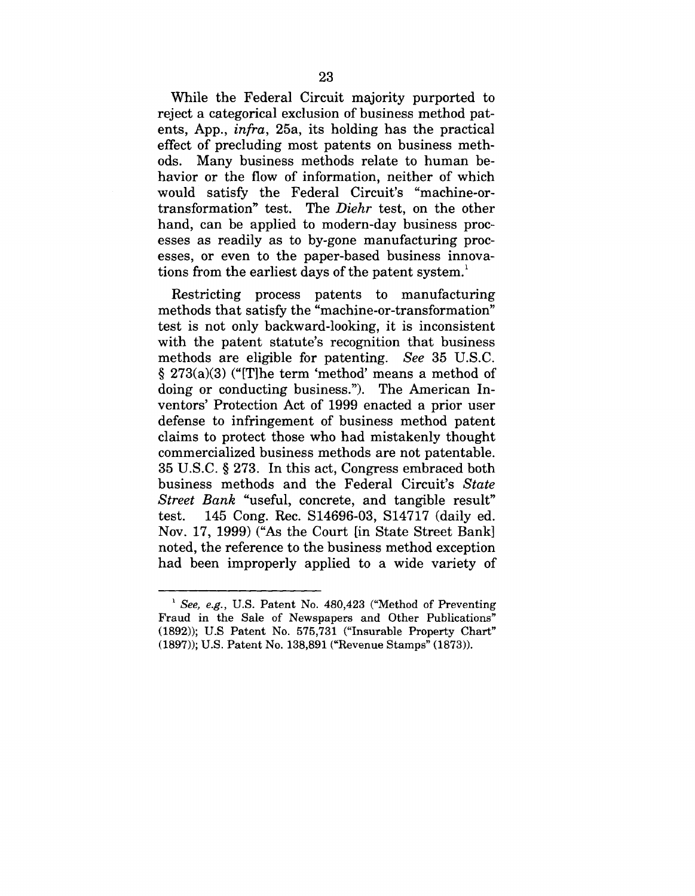While the Federal Circuit majority purported to reject a categorical exclusion of business method patents, App., *infra,* 25a, its holding has the practical effect of precluding most patents on business methods. Many business methods relate to human behavior or the flow of information, neither of which would satisfy the Federal Circuit's "machine-ortransformation" test. *The Diehr* test, on the other hand, can be applied to modern-day business processes as readily as to by-gone manufacturing processes, or even to the paper-based business innovations from the earliest days of the patent system.<sup>1</sup>

Restricting process patents to manufacturing methods that satisfy the "machine-or-transformation" test is not only backward-looking, it is inconsistent with the patent statute's recognition that business methods are eligible for patenting. *See* 35 U.S.C.  $§$  273(a)(3) ("[T]he term 'method' means a method of doing or conducting business."). The American Inventors' Protection Act of 1999 enacted a prior user defense to infringement of business method patent claims to protect those who had mistakenly thought commercialized business methods are not patentable. 35 U.S.C. § 273. In this act, Congress embraced both business methods and the Federal Circuit's *State Street Bank* "useful, concrete, and tangible result" test. 145 Cong. Rec. \$14696-03, S14717 (daily ed. Nov. 17, 1999) ("As the Court [in State Street Bank] noted, the reference to the business method exception had been improperly applied to a wide variety of

*<sup>~</sup> See, e.g.,* U.S. Patent No. 480,423 ("Method of Preventing Fraud in the Sale of Newspapers and Other Publications" (1892)); U.S Patent No. 575,731 ("Insurable Property Chart" (1897)); U.S. Patent No. 138,891 (~Revenue Stamps" (1873)).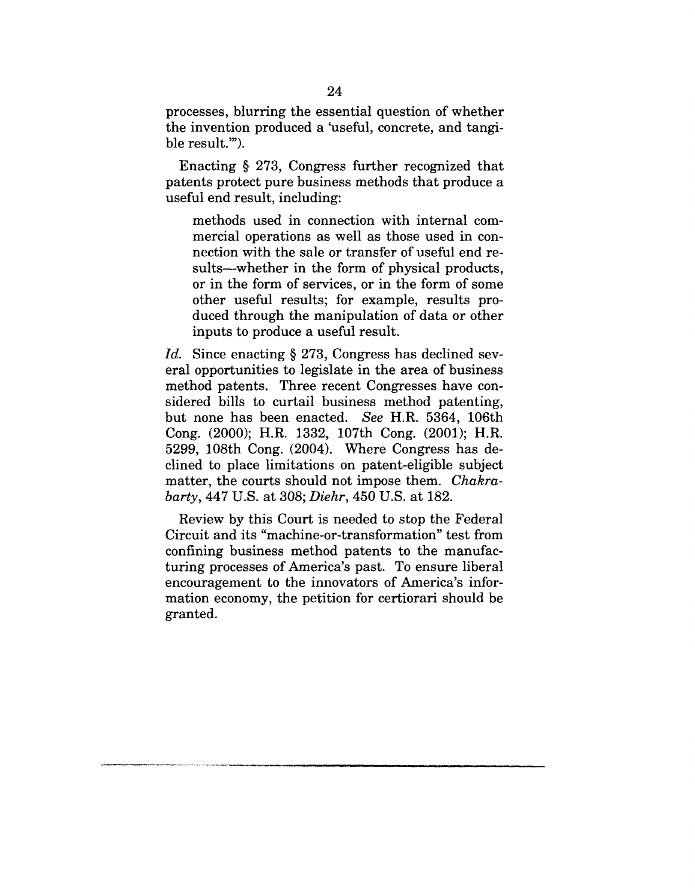processes, blurring the essential question of whether the invention produced a 'useful, concrete, and tangible result.'").

Enacting § 273, Congress further recognized that patents protect pure business methods that produce a useful end result, including:

methods used in connection with internal commercial operations as well as those used in connection with the sale or transfer of useful end results--whether in the form of physical products, or in the form of services, or in the form of some other useful results; for example, results produced through the manipulation of data or other inputs to produce a useful result.

*Id.* Since enacting § 273, Congress has declined several opportunities to legislate in the area of business method patents. Three recent Congresses have considered bills to curtail business method patenting, but none has been enacted. *See* H.R. 5364, 106th Cong. (2000); H.R. 1332, 107th Cong. (2001); H.R. 5299, 108th Cong. (2004). Where Congress has declined to place limitations on patent-eligible subject matter, the courts should not impose them. *Chakrabarty,* 447 U.S. at 308; *Diehr,* 450 U.S. at 182.

Review by this Court is needed to stop the Federal Circuit and its "machine-or-transformation" test from confining business method patents to the manufacturing processes of America's past. To ensure liberal encouragement to the innovators of America's information economy, the petition for certiorari should be granted.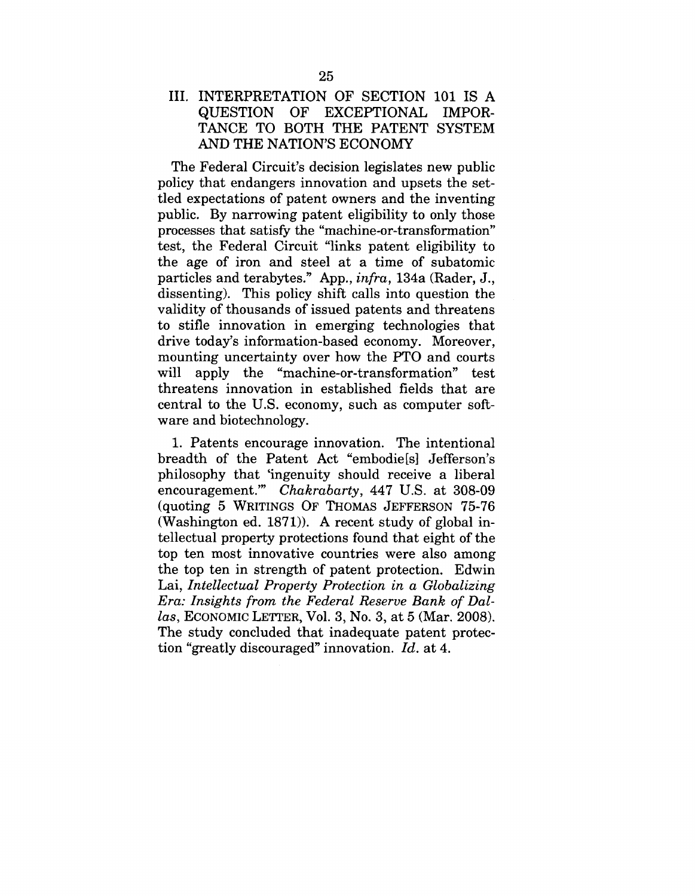### III. INTERPRETATION OF SECTION 101 IS A QUESTION OF EXCEPTIONAL IMPOR-TANCE TO BOTH THE PATENT SYSTEM AND THE NATION'S ECONOMY

The Federal Circuit's decision legislates new public policy that endangers innovation and upsets the settled expectations of patent owners and the inventing public. By narrowing patent eligibility to only those processes that satisfy the "machine-or-transformation" test, the Federal Circuit "links patent eligibility to the age of iron and steel at a time of subatomic particles and terabytes." App., *infra,* 134a (Rader, J., dissenting). This policy shift calls into question the validity of thousands of issued patents and threatens to stifle innovation in emerging technologies that drive today's information-based economy. Moreover, mounting uncertainty over how the PTO and courts will apply the "machine-or-transformation" test threatens innovation in established fields that are central to the U.S. economy, such as computer software and biotechnology.

1. Patents encourage innovation. The intentional breadth of the Patent Act "embodie[s] Jefferson's philosophy that 'ingenuity should receive a liberal encouragement.'" *Chakrabarty,* 447 U.S. at 308-09 (quoting 5 WRITINGS OF THOMAS JEFFERSON 75-76 (Washington ed. 1871)). A recent study of global intellectual property protections found that eight of the top ten most innovative countries were also among the top ten in strength of patent protection. Edwin Lai, *Intellectual Property Protection in a Globalizing Era: Insights from the Federal Reserve Bank of Dallas,* ECONOMIC LETTER, Vol. 3, No. 3, at 5 (Mar. 2008). The study concluded that inadequate patent protection "greatly discouraged" innovation. *Id.* at 4.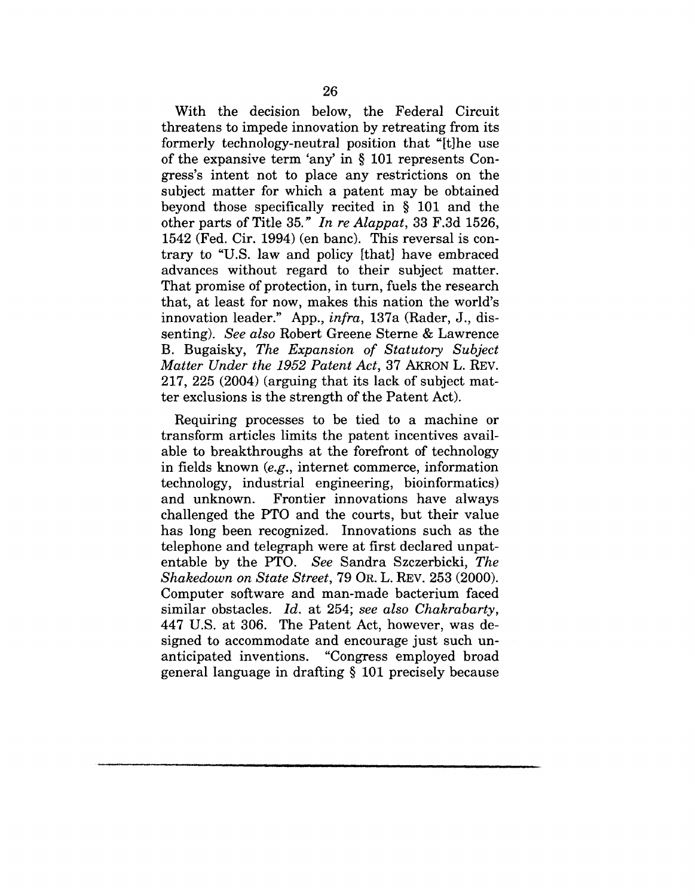With the decision below, the Federal Circuit threatens to impede innovation by retreating from its formerly technology-neutral position that "[t]he use of the expansive term 'any' in § 101 represents Congress's intent not to place any restrictions on the subject matter for which a patent may be obtained beyond those specifically recited in § 101 and the other parts of Title 35." *In re Alappat,* 33 F.3d 1526, 1542 (Fed. Cir. 1994) (en banc). This reversal is contrary to ~U.S. law and policy [that] have embraced advances without regard to their subject matter. That promise of protection, in turn, fuels the research that, at least for now, makes this nation the world's innovation leader." App., *infra,* 137a (Rader, J., dissenting). *See also* Robert Greene Sterne & Lawrence B. Bugaisky, *The Expansion of Statutory Subject Matter Under the 1952 Patent Act,* 37 AKRON L. REV. 217, 225 (2004) (arguing that its lack of subject matter exclusions is the strength of the Patent Act).

Requiring processes to be tied to a machine or transform articles limits the patent incentives available to breakthroughs at the forefront of technology in fields known *(e.g.,* internet commerce, information technology, industrial engineering, bioinformatics) Frontier innovations have always challenged the PTO and the courts, but their value has long been recognized. Innovations such as the telephone and telegraph were at first declared unpatentable by the PTO. *See* Sandra Szczerbicki, *The Shakedown on State Street,* 79 OR. L. REV. 253 (2000). Computer software and man-made bacterium faced similar obstacles. *Id.* at 254; *see also Chakrabarty,* 447 U.S. at 306. The Patent Act, however, was designed to accommodate and encourage just such unanticipated inventions. "Congress employed broad general language in drafting § 101 precisely because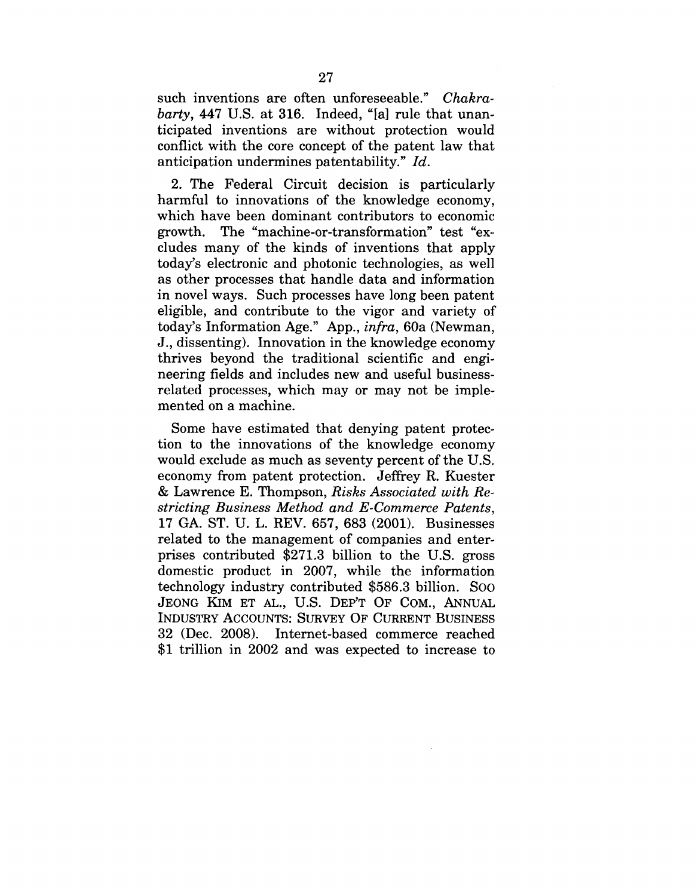such inventions are often unforeseeable." *Chakrabarty,* 447 U.S. at 316. Indeed, "[a] rule that unanticipated inventions are without protection would conflict with the core concept of the patent law that anticipation undermines patentability." *Id.*

2. The Federal Circuit decision is particularly harmful to innovations of the knowledge economy, which have been dominant contributors to economic growth. The "machine-or-transformation" test "excludes many of the kinds of inventions that apply today's electronic and photonic technologies, as well as other processes that handle data and information in novel ways. Such processes have long been patent eligible, and contribute to the vigor and variety of today's Information Age." App., *infra,* 60a (Newman, J., dissenting). Innovation in the knowledge economy thrives beyond the traditional scientific and engineering fields and includes new and useful businessrelated processes, which may or may not be implemented on a machine.

Some have estimated that denying patent protection to the innovations of the knowledge economy would exclude as much as seventy percent of the U.S. economy from patent protection. Jeffrey R. Kuester & Lawrence E. Thompson, *Risks Associated with Restricting Business Method and E-Commerce Patents,* 17 GA. ST. U. L. REV. 657, 683 (2001). Businesses related to the management of companies and enterprises contributed \$271.3 billion to the U.S. gross domestic product in 2007, while the information technology industry contributed \$586.3 billion. SOO JEONG KIM ET AL., U.S. DEP'T OF COM., ANNUAL INDUSTRY ACCOUNTS: SURVEY OF CURRENT BUSINESS 32 (Dec. 2008). Internet-based commerce reached \$1 trillion in 2002 and was expected to increase to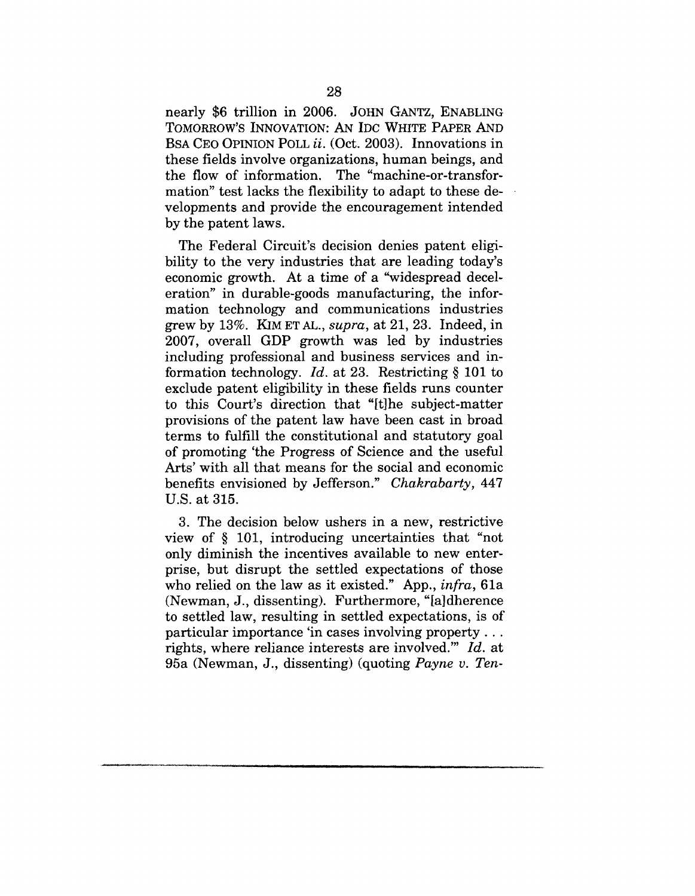nearly \$6 trillion in 2006. JOHN GANTZ, ENABLING TOMORROW'S INNOVATION: AN IDC WHITE PAPER AND BSA CEO OPINION POLL *ii.* (Oct. 2003). Innovations in these fields involve organizations, human beings, and the flow of information. The "machine-or-transformation" test lacks the flexibility to adapt to these developments and provide the encouragement intended by the patent laws.

The Federal Circuit's decision denies patent eligibility to the very industries that are leading today's economic growth. At a time of a "widespread deceleration" in durable-goods manufacturing, the information technology and communications industries grew by 13%. KIM ET *AL., supra,* at 21, 23. Indeed, in 2007, overall GDP growth was led by industries including professional and business services and information technology. *Id.* at 23. Restricting § 101 to exclude patent eligibility in these fields runs counter to this Court's direction that "It]he subject-matter provisions of the patent law have been cast in broad terms to fulfill the constitutional and statutory goal of promoting 'the Progress of Science and the useful Arts' with all that means for the social and economic benefits envisioned by Jefferson." *Chakrabarty,* 447 U.S. at 315.

3. The decision below ushers in a new, restrictive view of § 101, introducing uncertainties that "not only diminish the incentives available to new enterprise, but disrupt the settled expectations of those who relied on the law as it existed." App., *infra,* 61a (Newman, J., dissenting). Furthermore, "[a]dherence to settled law, resulting in settled expectations, is of particular importance 'in cases involving property... rights, where reliance interests are involved.'" *Id.* at 95a (Newman, J., dissenting) (quoting *Payne v. Ten-*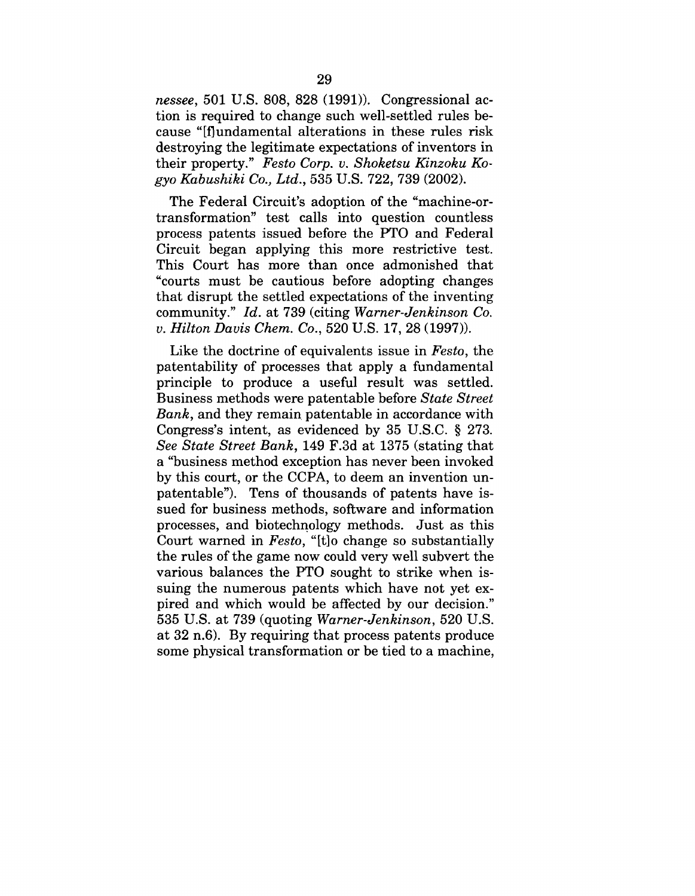*nessee,* 501 U.S. 808, 828 (1991)). Congressional action is required to change such well-settled rules because "[f]undamental alterations in these rules risk destroying the legitimate expectations of inventors in their property." *Festo Corp. v. Shoketsu Kinzoku Kogyo Kabushiki Co., Ltd.,* 535 U.S. 722, 739 (2002).

The Federal Circuit's adoption of the "machine-ortransformation" test calls into question countless process patents issued before the PTO and Federal Circuit began applying this more restrictive test. This Court has more than once admonished that "courts must be cautious before adopting changes that disrupt the settled expectations of the inventing community." *Id.* at 739 (citing *Warner-Jenkinson Co. v. Hilton Davis Chem. Co.,* 520 U.S. 17, 28 (1997)).

Like the doctrine of equivalents issue in *Festo,* the patentability of processes that apply a fundamental principle to produce a useful result was settled. Business methods were patentable before *State Street Bank,* and they remain patentable in accordance with Congress's intent, as evidenced by 35 U.S.C. § 273. *See State Street Bank,* 149 F.3d at 1375 (stating that a "business method exception has never been invoked by this court, or the CCPA, to deem an invention unpatentable"). Tens of thousands of patents have issued for business methods, software and information processes, and biotechnology methods. Just as this Court warned in *Festo,* "[t]o change so substantially the rules of the game now could very well subvert the various balances the PTO sought to strike when issuing the numerous patents which have not yet expired and which would be affected by our decision." 535 U.S. at 739 (quoting *Warner-Jenkinson,* 520 U.S. at 32 n.6). By requiring that process patents produce some physical transformation or be tied to a machine,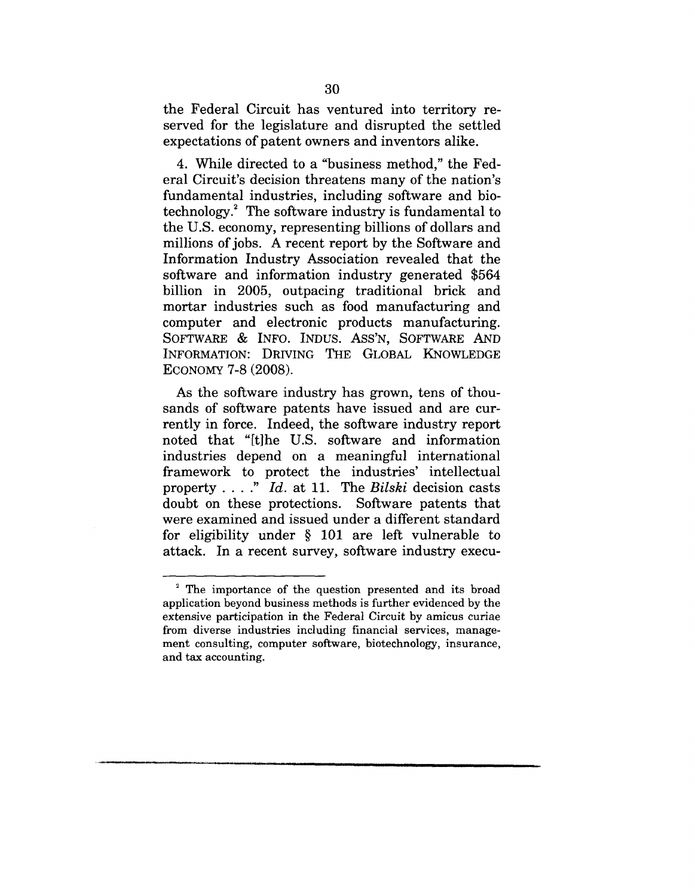the Federal Circuit has ventured into territory reserved for the legislature and disrupted the settled expectations of patent owners and inventors alike.

4. While directed to a "business method," the Federal Circuit's decision threatens many of the nation's fundamental industries, including software and biotechnology.2 The software industry is fundamental to the U.S. economy, representing billions of dollars and millions of jobs. A recent report by the Software and Information Industry Association revealed that the software and information industry generated \$564 billion in 2005, outpacing traditional brick and mortar industries such as food manufacturing and computer and electronic products manufacturing. SOFTWARE & INFO. INDUS. ASS'N, SOFTWARE AND INFORMATION: DRIVING THE GLOBAL KNOWLEDGE ECONOMY 7-8 (2008).

As the software industry has grown, tens of thousands of software patents have issued and are currently in force. Indeed, the software industry report noted that "[t]he U.S. software and information industries depend on a meaningful international framework to protect the industries' intellectual property .... " *Id.* at 11. The *Bilski* decision casts doubt on these protections. Software patents that were examined and issued under a different standard for eligibility under § 101 are left vulnerable to attack. In a recent survey, software industry execu-

<sup>&</sup>lt;sup>2</sup> The importance of the question presented and its broad application beyond business methods is further evidenced by the extensive participation in the Federal Circuit by amicus curiae from diverse industries including financial services, management consulting, computer software, biotechnology, insurance, and tax accounting.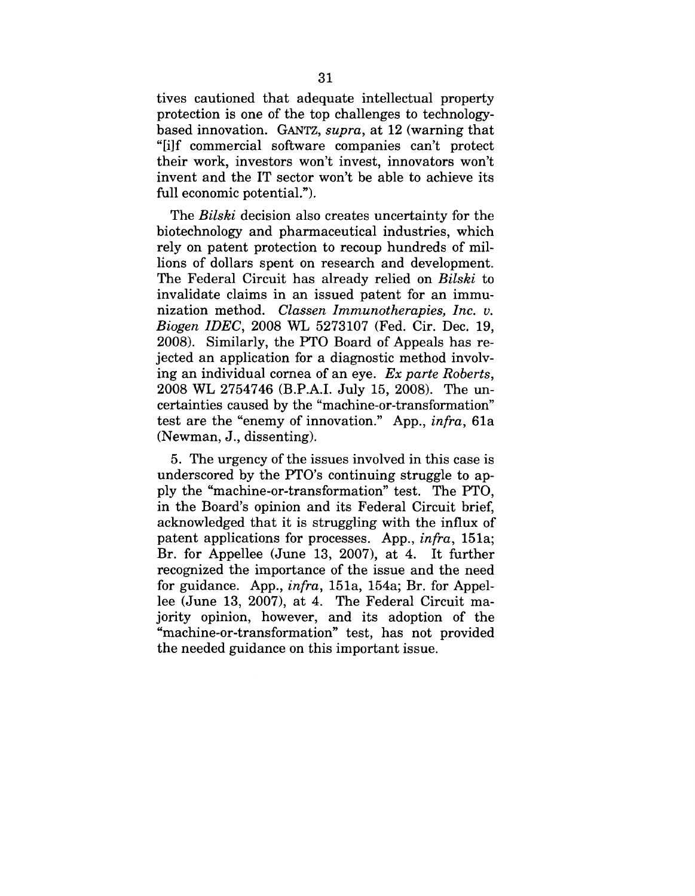tives cautioned that adequate intellectual property protection is one of the top challenges to technologybased innovation. GANTZ, *supra,* at 12 (warning that "[i]f commercial software companies can't protect their work, investors won't invest, innovators won't invent and the IT sector won't be able to achieve its full economic potential.").

The *Bilski* decision also creates uncertainty for the biotechnology and pharmaceutical industries, which rely on patent protection to recoup hundreds of millions of dollars spent on research and development. The Federal Circuit has already relied on *Bilski* to invalidate claims in an issued patent for an immunization method. *Classen Immunotherapies, Inc. v. Biogen IDEC,* 2008 WL 5273107 (Fed. Cir. Dec. 19, 2008). Similarly, the PTO Board of Appeals has rejected an application for a diagnostic method involving an individual cornea of an eye. *Ex parte Roberts,* 2008 WL 2754746 (B.P.A.I. July 15, 2008). The uncertainties caused by the "machine-or-transformation" test are the "enemy of innovation." App., *infra,* 61a (Newman, J., dissenting).

5. The urgency of the issues involved in this case is underscored by the PTO's continuing struggle to apply the "machine-or-transformation" test. The PTO, in the Board's opinion and its Federal Circuit brief, acknowledged that it is struggling with the influx of patent applications for processes. App., *infra,* 151a; Br. for Appellee (June 13, 2007), at 4. It further recognized the importance of the issue and the need for guidance. App., *infra,* 151a, 154a; Br. for Appellee (June 13, 2007), at 4. The Federal Circuit majority opinion, however, and its adoption of the "machine-or-transformation" test, has not provided the needed guidance on this important issue.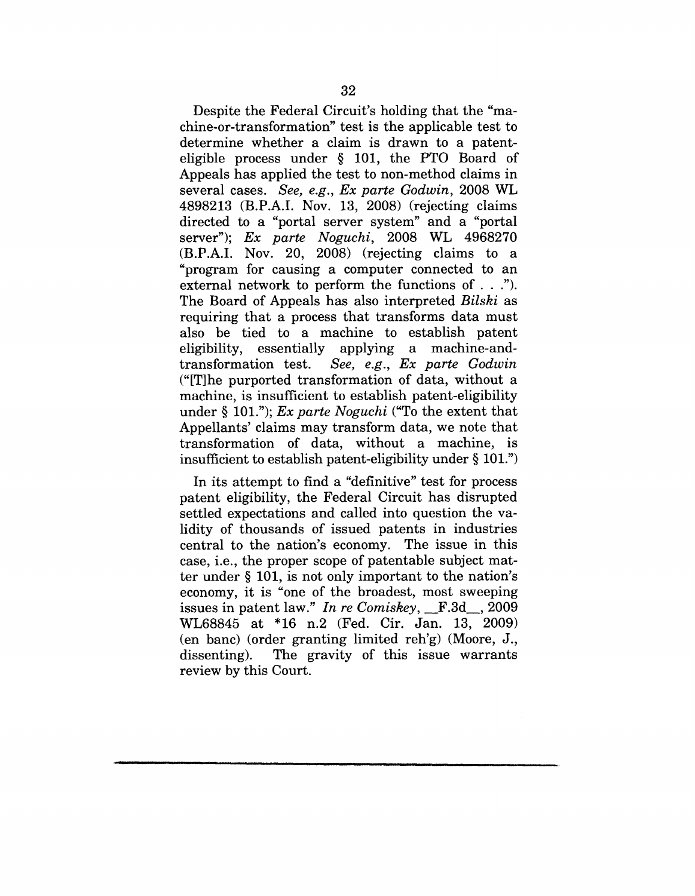Despite the Federal Circuit's holding that the "machine-or-transformation" test is the applicable test to determine whether a claim is drawn to a patenteligible process under § 101, the PTO Board of Appeals has applied the test to non-method claims in several cases. *See, e.g., Ex parte Godwin,* 2008 WL 4898213 (B.P.A.I. Nov. 13, 2008) (rejecting claims directed to a "portal server system" and a "portal server"); *Ex parte Noguchi,* 2008 WL 4968270 (B.P.A.I. Nov. 20, 2008) (rejecting claims to a "program for causing a computer connected to an external network to perform the functions of..."). The Board of Appeals has also interpreted *Bilski* as requiring that a process that transforms data must also be tied to a machine to establish patent eligibility, essentially applying a machine-and-<br>transformation test. See, e.g.,  $Ex$  parte Godwin See, e.g., Ex parte Godwin ("[T]he purported transformation of data, without a machine, is insufficient to establish patent-eligibility under § 101."); *Ex parte Noguchi* ("To the extent that Appellants' claims may transform data, we note that transformation of data, without a machine, is insufficient to establish patent-eligibility under § 101.")

In its attempt to find a "definitive" test for process patent eligibility, the Federal Circuit has disrupted settled expectations and called into question the validity of thousands of issued patents in industries central to the nation's economy. The issue in this case, i.e., the proper scope of patentable subject matter under § 101, is not only important to the nation's economy, it is "one of the broadest, most sweeping issues in patent law." *In re Comiskey,* \_\_F.3d\_\_, 2009 WL68845 at "16 n.2 (Fed. Cir. Jan. 13, 2009) (en banc) (order granting limited reh'g) (Moore, J., dissenting). The gravity of this issue warrants review by this Court.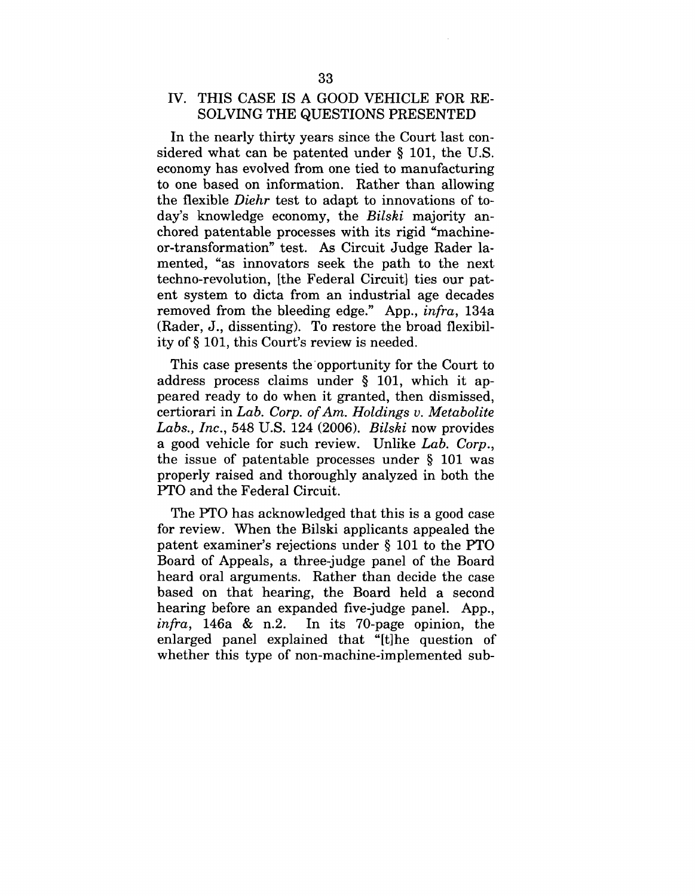## IV. THIS CASE IS A GOOD VEHICLE FOR RE-SOLVING THE QUESTIONS PRESENTED

In the nearly thirty years since the Court last considered what can be patented under § 101, the U.S. economy has evolved from one tied to manufacturing to one based on information. Rather than allowing the flexible *Diehr* test to adapt to innovations of today's knowledge economy, the *Bilski* majority anchored patentable processes with its rigid "machine-. or-transformation" test. As Circuit Judge Rader lamented, "as innovators seek the path to the next. techno-revolution, [the Federal Circuit] ties our patent system to dicta from an industrial age decades removed from the bleeding edge." App., *infra,* 134a (Rader, J., dissenting). To restore the broad flexibility of § 101, this Court's review is needed.

This case presents the opportunity for the Court to address process claims under § 101, which it appeared ready to do when it granted, then dismissed, certiorari in *Lab. Corp. of Am. Holdings v. Metabolite Labs., Inc.,* 548 U.S. 124 (2006). *Bilski* now provides a good vehicle for such review. Unlike *Lab. Corp.,* the issue of patentable processes under § 101 was properly raised and thoroughly analyzed in both the PTO and the Federal Circuit.

The PTO has acknowledged that this is a good case for review. When the Bilski applicants appealed the patent examiner's rejections under § 101 to the PTO Board of Appeals, a three-judge panel of the Board heard oral arguments. Rather than decide the case based on that hearing, the Board held a second hearing before an expanded five-judge panel. App., *infra,* 146a & n.2. In its 70-page opinion, the enlarged panel explained that "[t]he question of whether this type of non-machine-implemented sub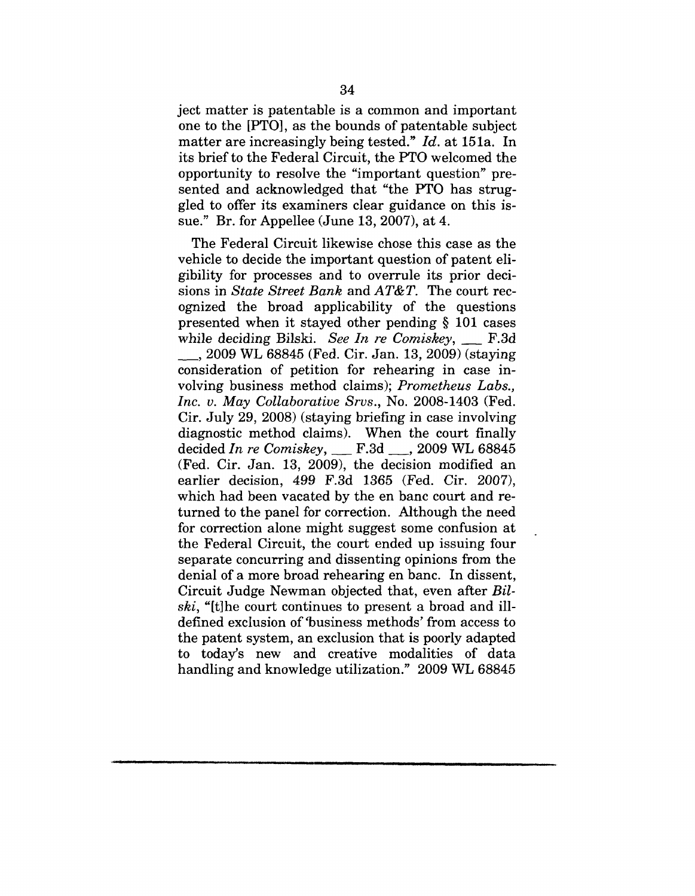ject matter is patentable is a common and important one to the [PTO], as the bounds of patentable subject matter are increasingly being tested." *Id.* at 151a. In its brief to the Federal Circuit, the PTO welcomed the opportunity to resolve the "important question" presented and acknowledged that "the PTO has struggled to offer its examiners clear guidance on this issue." Br. for Appellee (June 13, 2007), at 4.

The Federal Circuit likewise chose this case as the vehicle to decide the important question of patent eligibility for processes and to overrule its prior decisions in *State Street Bank* and *AT&T.* The court recognized the broad applicability of the questions presented when it stayed other pending § 101 cases while deciding Bilski. *See In re Comiskey, \_\_* F.3d \_\_., 2009 WL 68845 (Fed. Cir. Jan. 13, 2009) (staying consideration of petition for rehearing in case involving business method claims); *Prometheus Labs., Inc. v. May Collaborative Srvs.,* No. 2008-1403 (Fed. Cir. July 29, 2008) (staying briefing in case involving diagnostic method claims). When the court finally decided *In re Comiskey, \_\_* F.3d \_\_., 2009 WL 68845 (Fed. Cir. Jan. 13, 2009), the decision modified an earlier decision, 499 F.3d *1365* (Fed. Cir. 2007), which had been vacated by the en banc court and returned to the panel for correction. Although the need for correction alone might suggest some confusion at the Federal Circuit, the court ended up issuing four separate concurring and dissenting opinions from the denial of a more broad rehearing en banc. In dissent, Circuit Judge Newman objected that, even after *Bilski*, "It]he court continues to present a broad and illdefined exclusion of 'business methods' from access to the patent system, an exclusion that is poorly adapted to today's new and creative modalities of data handling and knowledge utilization." 2009 WL 68845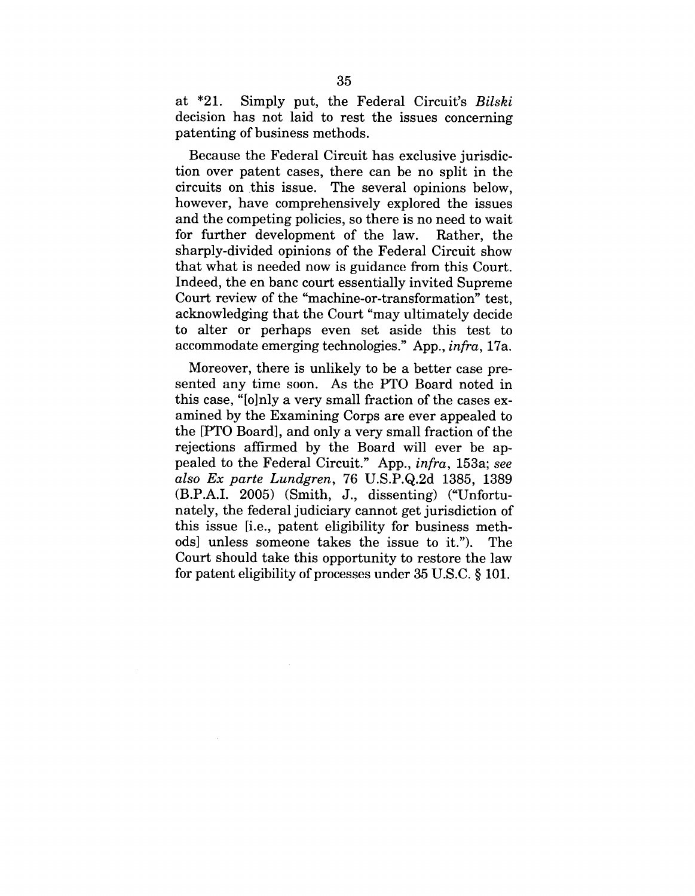at "21. Simply put, the Federal Circuit's *Bilski* decision has not laid to rest the issues concerning patenting of business methods.

Because the Federal Circuit has exclusive jurisdiction over patent cases, there can be no split in the circuits on this issue. The several opinions below, however, have comprehensively explored the issues and the competing policies, so there is no need to wait for further development of the law. Rather, the sharply-divided opinions of the Federal Circuit show that what is needed now is guidance from this Court. Indeed, the en banc court essentially invited Supreme Court review of the "machine-or-transformation" test, acknowledging that the Court "may ultimately decide to alter or perhaps even set aside this test to accommodate emerging technologies." App., *infra,* 17a.

Moreover, there is unlikely to be a better case presented any time soon. As the PTO Board noted in this case, "[o]nly a very small fraction of the cases examined by the Examining Corps are ever appealed to the [PTO Board], and only a very small fraction of the rejections affirmed by the Board will ever be appealed to the Federal Circuit." App., *infra,* 153a; *see also Ex parte Lundgren,* 76 U.S.P.Q.2d 1385, 1389 (B.P.A.I. 2005) (Smith, J., dissenting) ("Unfortunately, the federal judiciary cannot get jurisdiction of this issue [i.e., patent eligibility for business methods] unless someone takes the issue to it."). The Court should take this opportunity to restore the law for patent eligibility of processes under 35 U.S.C. § 101.